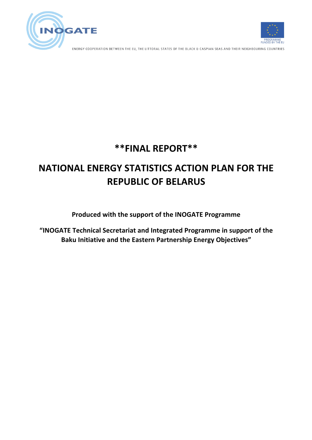



ENERGY COOPERATION BETWEEN THE EU, THE LITTORAL STATES OF THE BLACK & CASPIAN SEAS AND THEIR NEIGHBOURING COUNTRIES

# **\*\*FINAL REPORT\*\***

# **NATIONAL ENERGY STATISTICS ACTION PLAN FOR THE REPUBLIC OF BELARUS**

## **Produced with the support of the INOGATE Programme**

"INOGATE Technical Secretariat and Integrated Programme in support of the **Baku Initiative and the Eastern Partnership Energy Objectives"**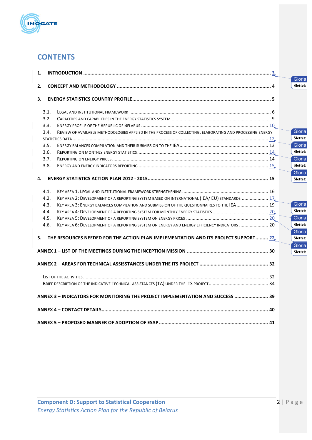

## **CONTENTS**

| 1. |      |                                                                                                           |                    |
|----|------|-----------------------------------------------------------------------------------------------------------|--------------------|
| 2. |      |                                                                                                           | Gloria<br>Slettet: |
| 3. |      |                                                                                                           |                    |
|    | 3.1. |                                                                                                           |                    |
|    | 3.2. |                                                                                                           |                    |
|    | 3.3. |                                                                                                           |                    |
|    | 3.4. | REVIEW OF AVAILABLE METHODOLOGIES APPLIED IN THE PROCESS OF COLLECTING, ELABORATING AND PROCESSING ENERGY | Gloria             |
|    |      |                                                                                                           | Slettet:           |
|    | 3.5. |                                                                                                           | Gloria             |
|    | 3.6. |                                                                                                           | Slettet:           |
|    | 3.7. |                                                                                                           | Gloria             |
|    | 3.8. |                                                                                                           | Slettet:           |
|    |      |                                                                                                           | Gloria             |
| 4. |      |                                                                                                           | Slettet:           |
|    | 4.1. |                                                                                                           |                    |
|    | 4.2. | KEY AREA 2: DEVELOPMENT OF A REPORTING SYSTEM BASED ON INTERNATIONAL (IEA/ EU) STANDARDS  17              |                    |
|    | 4.3. | KEY AREA 3: ENERGY BALANCES COMPILATION AND SUBMISSION OF THE QUESTIONNAIRES TO THE IEA 19                | Gloria             |
|    | 4.4. |                                                                                                           | Slettet:           |
|    | 4.5. |                                                                                                           | Gloria             |
|    | 4.6. | KEY AREA 6: DEVELOPMENT OF A REPORTING SYSTEM ON ENERGY AND ENERGY EFFICIENCY INDICATORS  20              | Slettet:           |
|    |      |                                                                                                           | Gloria             |
|    |      | 5. THE RESOURCES NEEDED FOR THE ACTION PLAN IMPLEMENTATION AND ITS PROJECT SUPPORT 22                     | Slettet:           |
|    |      |                                                                                                           | Gloria             |
|    |      |                                                                                                           | Slettet:           |
|    |      |                                                                                                           |                    |
|    |      |                                                                                                           |                    |
|    |      |                                                                                                           |                    |
|    |      | ANNEX 3 - INDICATORS FOR MONITORING THE PROJECT IMPLEMENTATION AND SUCCESS  39                            |                    |
|    |      |                                                                                                           |                    |
|    |      |                                                                                                           |                    |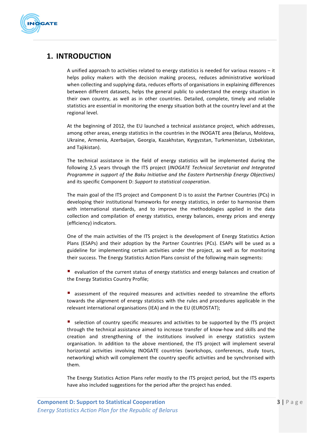

## **1. INTRODUCTION**

A unified approach to activities related to energy statistics is needed for various reasons  $-$  it helps policy makers with the decision making process, reduces administrative workload when collecting and supplying data, reduces efforts of organisations in explaining differences between different datasets, helps the general public to understand the energy situation in their own country, as well as in other countries. Detailed, complete, timely and reliable statistics are essential in monitoring the energy situation both at the country level and at the regional level.

At the beginning of 2012, the EU launched a technical assistance project, which addresses, among other areas, energy statistics in the countries in the INOGATE area (Belarus, Moldova, Ukraine, Armenia, Azerbaijan, Georgia, Kazakhstan, Kyrgyzstan, Turkmenistan, Uzbekistan, and Taiikistan).

The technical assistance in the field of energy statistics will be implemented during the following 2,5 years through the ITS project (*INOGATE Technical Secretariat and Integrated Programme in support of the Baku Initiative and the Eastern Partnership Energy Objectives)* and its specific Component D: Support to statistical cooperation.

The main goal of the ITS project and Component D is to assist the Partner Countries (PCs) in developing their institutional frameworks for energy statistics, in order to harmonise them with international standards, and to improve the methodologies applied in the data collection and compilation of energy statistics, energy balances, energy prices and energy (efficiency) indicators.

One of the main activities of the ITS project is the development of Energy Statistics Action Plans (ESAPs) and their adoption by the Partner Countries (PCs). ESAPs will be used as a guideline for implementing certain activities under the project, as well as for monitoring their success. The Energy Statistics Action Plans consist of the following main segments:

■ evaluation of the current status of energy statistics and energy balances and creation of the Energy Statistics Country Profile;

■ assessment of the required measures and activities needed to streamline the efforts towards the alignment of energy statistics with the rules and procedures applicable in the relevant international organisations (IEA) and in the EU (EUROSTAT);

■ selection of country specific measures and activities to be supported by the ITS project through the technical assistance aimed to increase transfer of know-how and skills and the creation and strengthening of the institutions involved in energy statistics system organisation. In addition to the above mentioned, the ITS project will implement several horizontal activities involving INOGATE countries (workshops, conferences, study tours, networking) which will complement the country specific activities and be synchronised with them. 

The Energy Statistics Action Plans refer mostly to the ITS project period, but the ITS experts have also included suggestions for the period after the project has ended.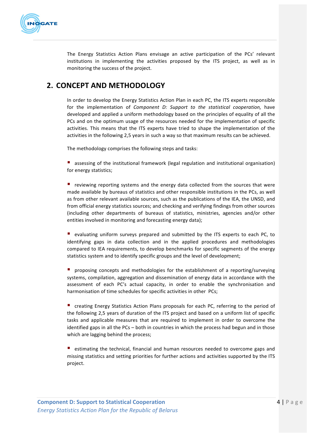

The Energy Statistics Action Plans envisage an active participation of the PCs' relevant institutions in implementing the activities proposed by the ITS project, as well as in monitoring the success of the project.

## **2. CONCEPT AND METHODOLOGY**

In order to develop the Energy Statistics Action Plan in each PC, the ITS experts responsible for the implementation of *Component D: Support to the statistical cooperation*, have developed and applied a uniform methodology based on the principles of equality of all the PCs and on the optimum usage of the resources needed for the implementation of specific activities. This means that the ITS experts have tried to shape the implementation of the activities in the following 2,5 years in such a way so that maximum results can be achieved.

The methodology comprises the following steps and tasks:

**•** assessing of the institutional framework (legal regulation and institutional organisation) for energy statistics;

 $\blacksquare$  reviewing reporting systems and the energy data collected from the sources that were made available by bureaus of statistics and other responsible institutions in the PCs, as well as from other relevant available sources, such as the publications of the IEA, the UNSD, and from official energy statistics sources; and checking and verifying findings from other sources (including other departments of bureaus of statistics, ministries, agencies and/or other entities involved in monitoring and forecasting energy data);

 $\blacksquare$  evaluating uniform surveys prepared and submitted by the ITS experts to each PC, to identifying gaps in data collection and in the applied procedures and methodologies compared to IEA requirements, to develop benchmarks for specific segments of the energy statistics system and to identify specific groups and the level of development;

**•** proposing concepts and methodologies for the establishment of a reporting/surveying systems, compilation, aggregation and dissemination of energy data in accordance with the assessment of each PC's actual capacity, in order to enable the synchronisation and harmonisation of time schedules for specific activities in other PCs;

■ creating Energy Statistics Action Plans proposals for each PC, referring to the period of the following 2,5 years of duration of the ITS project and based on a uniform list of specific tasks and applicable measures that are required to implement in order to overcome the identified gaps in all the  $PCs -$  both in countries in which the process had begun and in those which are lagging behind the process;

**E** estimating the technical, financial and human resources needed to overcome gaps and missing statistics and setting priorities for further actions and activities supported by the ITS project.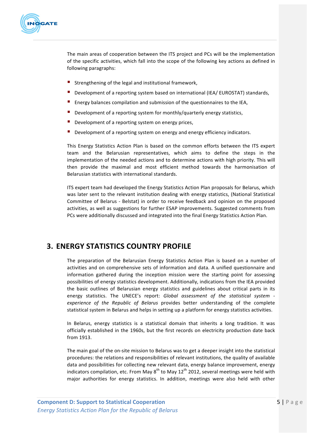

The main areas of cooperation between the ITS project and PCs will be the implementation of the specific activities, which fall into the scope of the following key actions as defined in following paragraphs:

- Strengthening of the legal and institutional framework,
- Development of a reporting system based on international (IEA/ EUROSTAT) standards,
- **E** Energy balances compilation and submission of the questionnaires to the IEA,
- **Development of a reporting system for monthly/quarterly energy statistics,**
- Development of a reporting system on energy prices,
- Development of a reporting system on energy and energy efficiency indicators.

This Energy Statistics Action Plan is based on the common efforts between the ITS expert team and the Belarusian representatives, which aims to define the steps in the implementation of the needed actions and to determine actions with high priority. This will then provide the maximal and most efficient method towards the harmonisation of Belarusian statistics with international standards.

ITS expert team had developed the Energy Statistics Action Plan proposals for Belarus, which was later sent to the relevant institution dealing with energy statistics, (National Statistical Committee of Belarus - Belstat) in order to receive feedback and opinion on the proposed activities, as well as suggestions for further ESAP improvements. Suggested comments from PCs were additionally discussed and integrated into the final Energy Statistics Action Plan.

## **3. ENERGY STATISTICS COUNTRY PROFILE**

The preparation of the Belarusian Energy Statistics Action Plan is based on a number of activities and on comprehensive sets of information and data. A unified questionnaire and information gathered during the inception mission were the starting point for assessing possibilities of energy statistics development. Additionally, indications from the IEA provided the basic outlines of Belarusian energy statistics and guidelines about critical parts in its energy statistics. The UNECE's report: *Global assessment of the statistical system* experience of the Republic of Belarus provides better understanding of the complete statistical system in Belarus and helps in setting up a platform for energy statistics activities.

In Belarus, energy statistics is a statistical domain that inherits a long tradition. It was officially established in the 1960s, but the first records on electricity production date back from 1913.

The main goal of the on-site mission to Belarus was to get a deeper insight into the statistical procedures: the relations and responsibilities of relevant institutions, the quality of available data and possibilities for collecting new relevant data, energy balance improvement, energy indicators compilation, etc. From May  $8^{th}$  to May 12<sup>th</sup> 2012, several meetings were held with major authorities for energy statistics. In addition, meetings were also held with other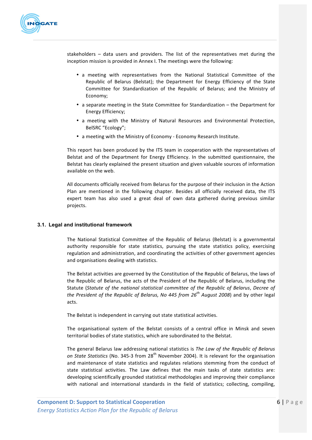

stakeholders - data users and providers. The list of the representatives met during the inception mission is provided in Annex I. The meetings were the following:

- a meeting with representatives from the National Statistical Committee of the Republic of Belarus (Belstat); the Department for Energy Efficiency of the State Committee for Standardization of the Republic of Belarus; and the Ministry of Economy;
- a separate meeting in the State Committee for Standardization the Department for Energy Efficiency;
- a meeting with the Ministry of Natural Resources and Environmental Protection, BelSRC "Ecology";
- a meeting with the Ministry of Economy Economy Research Institute.

This report has been produced by the ITS team in cooperation with the representatives of Belstat and of the Department for Energy Efficiency. In the submitted questionnaire, the Belstat has clearly explained the present situation and given valuable sources of information available on the web.

All documents officially received from Belarus for the purpose of their inclusion in the Action Plan are mentioned in the following chapter. Besides all officially received data, the ITS expert team has also used a great deal of own data gathered during previous similar projects.

## **3.1. Legal and institutional framework**

The National Statistical Committee of the Republic of Belarus (Belstat) is a governmental authority responsible for state statistics, pursuing the state statistics policy, exercising regulation and administration, and coordinating the activities of other government agencies and organisations dealing with statistics.

The Belstat activities are governed by the Constitution of the Republic of Belarus, the laws of the Republic of Belarus, the acts of the President of the Republic of Belarus, including the Statute (*Statute of the national statistical committee of the Republic of Belarus, Decree of the President of the Republic of Belarus, No 445 from 26<sup>th</sup> August 2008*) and by other legal acts. 

The Belstat is independent in carrying out state statistical activities.

The organisational system of the Belstat consists of a central office in Minsk and seven territorial bodies of state statistics, which are subordinated to the Belstat.

The general Belarus law addressing national statistics is *The Law of the Republic of Belarus on* State Statistics (No. 345-3 from 28<sup>th</sup> November 2004). It is relevant for the organisation and maintenance of state statistics and regulates relations stemming from the conduct of state statistical activities. The Law defines that the main tasks of state statistics are: developing scientifically grounded statistical methodologies and improving their compliance with national and international standards in the field of statistics; collecting, compiling,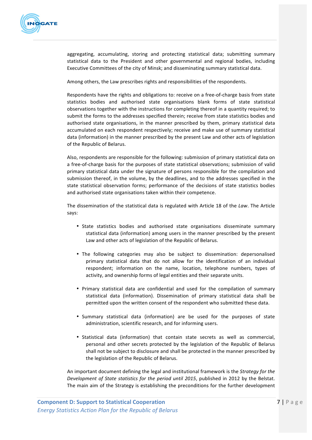

aggregating, accumulating, storing and protecting statistical data; submitting summary statistical data to the President and other governmental and regional bodies, including Executive Committees of the city of Minsk; and disseminating summary statistical data.

Among others, the Law prescribes rights and responsibilities of the respondents.

Respondents have the rights and obligations to: receive on a free-of-charge basis from state statistics bodies and authorised state organisations blank forms of state statistical observations together with the instructions for completing thereof in a quantity required; to submit the forms to the addresses specified therein; receive from state statistics bodies and authorised state organisations, in the manner prescribed by them, primary statistical data accumulated on each respondent respectively; receive and make use of summary statistical data (information) in the manner prescribed by the present Law and other acts of legislation of the Republic of Belarus.

Also, respondents are responsible for the following: submission of primary statistical data on a free-of-charge basis for the purposes of state statistical observations; submission of valid primary statistical data under the signature of persons responsible for the compilation and submission thereof, in the volume, by the deadlines, and to the addresses specified in the state statistical observation forms; performance of the decisions of state statistics bodies and authorised state organisations taken within their competence.

The dissemination of the statistical data is regulated with Article 18 of the *Law*. The Article says: 

- State statistics bodies and authorised state organisations disseminate summary statistical data (information) among users in the manner prescribed by the present Law and other acts of legislation of the Republic of Belarus.
- The following categories may also be subject to dissemination: depersonalised primary statistical data that do not allow for the identification of an individual respondent; information on the name, location, telephone numbers, types of activity, and ownership forms of legal entities and their separate units.
- Primary statistical data are confidential and used for the compilation of summary statistical data (information). Dissemination of primary statistical data shall be permitted upon the written consent of the respondent who submitted these data.
- Summary statistical data (information) are be used for the purposes of state administration, scientific research, and for informing users.
- Statistical data (information) that contain state secrets as well as commercial, personal and other secrets protected by the legislation of the Republic of Belarus shall not be subject to disclosure and shall be protected in the manner prescribed by the legislation of the Republic of Belarus.

An important document defining the legal and institutional framework is the *Strategy for the Development of State statistics for the period until 2015*, published in 2012 by the Belstat. The main aim of the Strategy is establishing the preconditions for the further development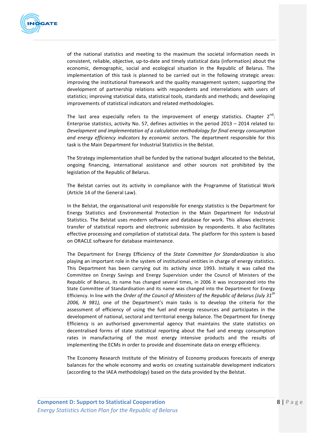

of the national statistics and meeting to the maximum the societal information needs in consistent, reliable, objective, up-to-date and timely statistical data (information) about the economic, demographic, social and ecological situation in the Republic of Belarus. The implementation of this task is planned to be carried out in the following strategic areas: improving the institutional framework and the quality management system; supporting the development of partnership relations with respondents and interrelations with users of statistics; improving statistical data, statistical tools, standards and methods; and developing improvements of statistical indicators and related methodologies.

The last area especially refers to the improvement of energy statistics. Chapter  $2^{nd}$ : Enterprise statistics, activity No. 57, defines activities in the period  $2013 - 2014$  related to: *Development and implementation of a calculation methodology for final energy consumption and energy efficiency indicators by economic sectors.* The department responsible for this task is the Main Department for Industrial Statistics in the Belstat.

The Strategy implementation shall be funded by the national budget allocated to the Belstat, ongoing financing, international assistance and other sources not prohibited by the legislation of the Republic of Belarus.

The Belstat carries out its activity in compliance with the Programme of Statistical Work (Article 14 of the General Law).

In the Belstat, the organisational unit responsible for energy statistics is the Department for Energy Statistics and Environmental Protection in the Main Department for Industrial Statistics. The Belstat uses modern software and database for work. This allows electronic transfer of statistical reports and electronic submission by respondents. It also facilitates effective processing and compilation of statistical data. The platform for this system is based on ORACLE software for database maintenance.

The Department for Energy Efficiency of the *State Committee for Standardization* is also playing an important role in the system of institutional entities in charge of energy statistics. This Department has been carrying out its activity since 1993. Initially it was called the Committee on Energy Savings and Energy Supervision under the Council of Ministers of the Republic of Belarus, its name has changed several times, in 2006 it was incorporated into the State Committee of Standardisation and its name was changed into the Department for Energy Efficiency. In line with the *Order of the Council of Ministers of the Republic of Belarus (July 31<sup>th</sup>) 2006, N* 981), one of the Department's main tasks is to develop the criteria for the assessment of efficiency of using the fuel and energy resources and participates in the development of national, sectoral and territorial energy balance. The Department for Energy Efficiency is an authorised governmental agency that maintains the state statistics on decentralised forms of state statistical reporting about the fuel and energy consumption rates in manufacturing of the most energy intensive products and the results of implementing the ECMs in order to provide and disseminate data on energy efficiency.

The Economy Research Institute of the Ministry of Economy produces forecasts of energy balances for the whole economy and works on creating sustainable development indicators (according to the IAEA methodology) based on the data provided by the Belstat.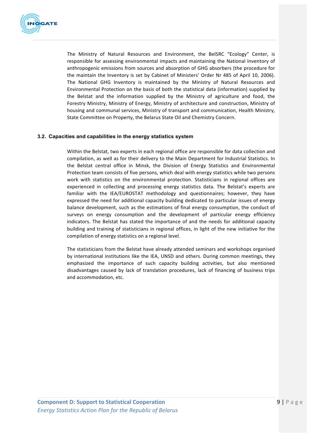

The Ministry of Natural Resources and Environment, the BelSRC "Ecology" Center, is responsible for assessing environmental impacts and maintaining the National Inventory of anthropogenic emissions from sources and absorption of GHG absorbers (the procedure for the maintain the Inventory is set by Cabinet of Ministers' Order Nr 485 of April 10, 2006). The National GHG Inventory is maintained by the Ministry of Natural Resources and Environmental Protection on the basis of both the statistical data (information) supplied by the Belstat and the information supplied by the Ministry of agriculture and food, the Forestry Ministry, Ministry of Energy, Ministry of architecture and construction, Ministry of housing and communal services, Ministry of transport and communication, Health Ministry, State Committee on Property, the Belarus State Oil and Chemistry Concern.

## **3.2. Capacities and capabilities in the energy statistics system**

Within the Belstat, two experts in each regional office are responsible for data collection and compilation, as well as for their delivery to the Main Department for Industrial Statistics. In the Belstat central office in Minsk, the Division of Energy Statistics and Environmental Protection team consists of five persons, which deal with energy statistics while two persons work with statistics on the environmental protection. Statisticians in regional offices are experienced in collecting and processing energy statistics data. The Belstat's experts are familiar with the IEA/EUROSTAT methodology and questionnaires; however, they have expressed the need for additional capacity building dedicated to particular issues of energy balance development, such as the estimations of final energy consumption, the conduct of surveys on energy consumption and the development of particular energy efficiency indicators. The Belstat has stated the importance of and the needs for additional capacity building and training of statisticians in regional offices, in light of the new initiative for the compilation of energy statistics on a regional level.

The statisticians from the Belstat have already attended seminars and workshops organised by international institutions like the IEA, UNSD and others. During common meetings, they emphasized the importance of such capacity building activities, but also mentioned disadvantages caused by lack of translation procedures, lack of financing of business trips and accommodation, etc.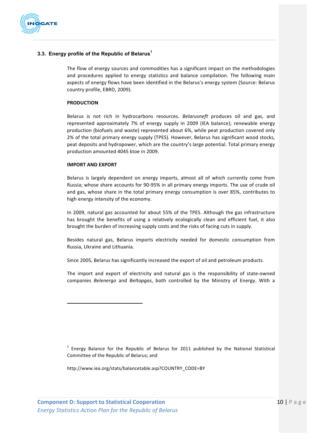

## **3.3. Energy profile of the Republic of Belarus<sup>1</sup>**

The flow of energy sources and commodities has a significant impact on the methodologies and procedures applied to energy statistics and balance compilation. The following main aspects of energy flows have been identified in the Belarus's energy system (Source: Belarus country profile, EBRD, 2009).

#### **PRODUCTION**

Belarus is not rich in hydrocarbons resources. *Belarusneft* produces oil and gas, and represented approximately 7% of energy supply in 2009 (IEA balance); renewable energy production (biofuels and waste) represented about 6%, while peat production covered only 2% of the total primary energy supply (TPES). However, Belarus has significant wood stocks, peat deposits and hydropower, which are the country's large potential. Total primary energy production amounted 4045 ktoe in 2009.

#### **IMPORT AND FXPORT**

Belarus is largely dependent on energy imports, almost all of which currently come from Russia; whose share accounts for 90-95% in all primary energy imports. The use of crude oil and gas, whose share in the total primary energy consumption is over 85%, contributes to high energy intensity of the economy.

In 2009, natural gas accounted for about 55% of the TPES. Although the gas infrastructure has brought the benefits of using a relatively ecologically clean and efficient fuel, it also brought the burden of increasing supply costs and the risks of facing cuts in supply.

Besides natural gas, Belarus imports electricity needed for domestic consumption from Russia, Ukraine and Lithuania.

Since 2005, Belarus has significantly increased the export of oil and petroleum products.

The import and export of electricity and natural gas is the responsibility of state-owned companies *Belenergo* and *Beltopgas*, both controlled by the Ministry of Energy. With a

 $1$  Energy Balance for the Republic of Belarus for 2011 published by the National Statistical Committee of the Republic of Belarus; and

http://www.iea.org/stats/balancetable.asp?COUNTRY\_CODE=BY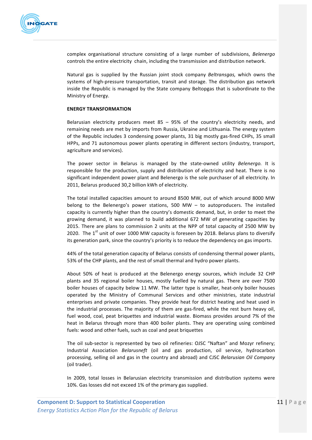

complex organisational structure consisting of a large number of subdivisions, *Belenergo* controls the entire electricity chain, including the transmission and distribution network.

Natural gas is supplied by the Russian joint stock company *Beltransgas*, which owns the systems of high-pressure transportation, transit and storage. The distribution gas network inside the Republic is managed by the State company Beltopgas that is subordinate to the Ministry of Energy.

#### **ENERGY TRANSFORMATION**

Belarusian electricity producers meet  $85 - 95%$  of the country's electricity needs, and remaining needs are met by imports from Russia, Ukraine and Lithuania. The energy system of the Republic includes 3 condensing power plants, 31 big mostly gas-fired CHPs, 35 small HPPs, and 71 autonomous power plants operating in different sectors (industry, transport, agriculture and services).

The power sector in Belarus is managed by the state-owned utility *Belenergo*. It is responsible for the production, supply and distribution of electricity and heat. There is no significant independent power plant and Belenergo is the sole purchaser of all electricity. In 2011, Belarus produced 30,2 billion kWh of electricity.

The total installed capacities amount to around 8500 MW, out of which around 8000 MW belong to the Belenergo's power stations,  $500$  MW – to autoproducers. The installed capacity is currently higher than the country's domestic demand, but, in order to meet the growing demand, it was planned to build additional 672 MW of generating capacities by 2015. There are plans to commission 2 units at the NPP of total capacity of 2500 MW by 2020. The  $1<sup>st</sup>$  unit of over 1000 MW capacity is foreseen by 2018. Belarus plans to diversify its generation park, since the country's priority is to reduce the dependency on gas imports.

44% of the total generation capacity of Belarus consists of condensing thermal power plants, 53% of the CHP plants, and the rest of small thermal and hydro power plants.

About 50% of heat is produced at the Belenergo energy sources, which include 32 CHP plants and 35 regional boiler houses, mostly fuelled by natural gas. There are over 7500 boiler houses of capacity below 11 MW. The latter type is smaller, heat-only boiler houses operated by the Ministry of Communal Services and other ministries, state industrial enterprises and private companies. They provide heat for district heating and heat used in the industrial processes. The majority of them are gas-fired, while the rest burn heavy oil, fuel wood, coal, peat briquettes and industrial waste. Biomass provides around 7% of the heat in Belarus through more than 400 boiler plants. They are operating using combined fuels: wood and other fuels, such as coal and peat briquettes

The oil sub-sector is represented by two oil refineries: OJSC "Naftan" and Mozyr refinery; Industrial Association *Belarusneft*  (oil and gas production, oil service, hydrocarbon processing, selling oil and gas in the country and abroad) and CJSC *Belarusian Oil Company* (oil trader).

In 2009, total losses in Belarusian electricity transmission and distribution systems were 10%. Gas losses did not exceed 1% of the primary gas supplied.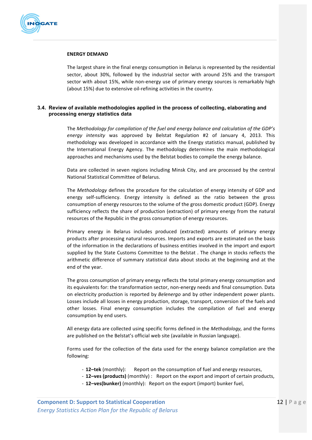

#### **ENERGY DEMAND**

The largest share in the final energy consumption in Belarus is represented by the residential sector, about 30%, followed by the industrial sector with around 25% and the transport sector with about 15%, while non-energy use of primary energy sources is remarkably high (about 15%) due to extensive oil-refining activities in the country.

### **3.4. Review of available methodologies applied in the process of collecting, elaborating and processing energy statistics data**

The Methodology for compilation of the fuel and energy balance and calculation of the GDP's energy intensity was approved by Belstat Regulation #2 of January 4, 2013. This methodology was developed in accordance with the Energy statistics manual, published by the International Energy Agency. The methodology determines the main methodological approaches and mechanisms used by the Belstat bodies to compile the energy balance.

Data are collected in seven regions including Minsk City, and are processed by the central National Statistical Committee of Belarus.

The *Methodology* defines the procedure for the calculation of energy intensity of GDP and energy self-sufficiency. Energy intensity is defined as the ratio between the gross consumption of energy resources to the volume of the gross domestic product (GDP). Energy sufficiency reflects the share of production (extraction) of primary energy from the natural resources of the Republic in the gross consumption of energy resources.

Primary energy in Belarus includes produced (extracted) amounts of primary energy products after processing natural resources. Imports and exports are estimated on the basis of the information in the declarations of business entities involved in the import and export supplied by the State Customs Committee to the Belstat . The change in stocks reflects the arithmetic difference of summary statistical data about stocks at the beginning and at the end of the year.

The gross consumption of primary energy reflects the total primary energy consumption and its equivalents for: the transformation sector, non-energy needs and final consumption. Data on electricity production is reported by *Belenergo* and by other independent power plants. Losses include all losses in energy production, storage, transport, conversion of the fuels and other losses. Final energy consumption includes the compilation of fuel and energy consumption by end users.

All energy data are collected using specific forms defined in the *Methodology*, and the forms are published on the Belstat's official web site (available in Russian language).

Forms used for the collection of the data used for the energy balance compilation are the following: 

- **12–tek** (monthly): Report on the consumption of fuel and energy resources,
- 12–ves (products) (monthly) : Report on the export and import of certain products,
- 12-ves(bunker) (monthly): Report on the export (import) bunker fuel,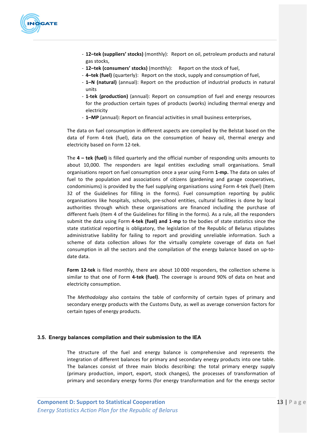

- 12-tek (suppliers' stocks) (monthly): Report on oil, petroleum products and natural gas stocks,
- 12-tek (consumers' stocks) (monthly): Report on the stock of fuel,
- 4-tek (fuel) (quarterly): Report on the stock, supply and consumption of fuel,
- 1-N (natural) (annual): Report on the production of industrial products in natural units
- **1-tek (production)** (annual): Report on consumption of fuel and energy resources for the production certain types of products (works) including thermal energy and electricity
- **1–MP** (annual): Report on financial activities in small business enterprises,

The data on fuel consumption in different aspects are compiled by the Belstat based on the data of Form 4-tek (fuel), data on the consumption of heavy oil, thermal energy and electricity based on Form 12-tek.

The **4** – **tek** (fuel) is filled quarterly and the official number of responding units amounts to about 10,000. The responders are legal entities excluding small organisations. Small organisations report on fuel consumption once a year using Form 1-mp. The data on sales of fuel to the population and associations of citizens (gardening and garage cooperatives, condominiums) is provided by the fuel supplying organisations using Form 4-tek (fuel) (Item 32 of the Guidelines for filling in the forms). Fuel consumption reporting by public organisations like hospitals, schools, pre-school entities, cultural facilities is done by local authorities through which these organisations are financed including the purchase of different fuels (Item 4 of the Guidelines for filling in the forms). As a rule, all the responders submit the data using Form 4-tek (fuel) and 1-mp to the bodies of state statistics since the state statistical reporting is obligatory, the legislation of the Republic of Belarus stipulates administrative liability for failing to report and providing unreliable information. Such a scheme of data collection allows for the virtually complete coverage of data on fuel consumption in all the sectors and the compilation of the energy balance based on up-todate data. 

Form 12-tek is filed monthly, there are about 10 000 responders, the collection scheme is similar to that one of Form 4-tek (fuel). The coverage is around 90% of data on heat and electricity consumption.

The *Methodology* also contains the table of conformity of certain types of primary and secondary energy products with the Customs Duty, as well as average conversion factors for certain types of energy products.

## **3.5. Energy balances compilation and their submission to the IEA**

The structure of the fuel and energy balance is comprehensive and represents the integration of different balances for primary and secondary energy products into one table. The balances consist of three main blocks describing: the total primary energy supply (primary production, import, export, stock changes), the processes of transformation of primary and secondary energy forms (for energy transformation and for the energy sector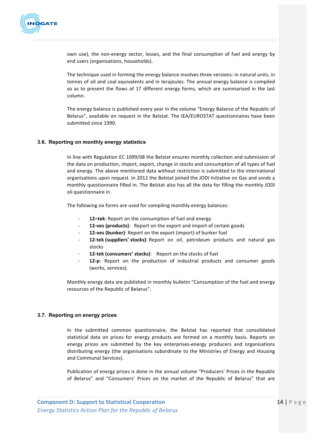

own use), the non-energy sector, losses, and the final consumption of fuel and energy by end users (organisations, households).

The technique used in forming the energy balance involves three versions: in natural units, in tonnes of oil and coal equivalents and in terajoules. The annual energy balance is compiled so as to present the flows of 17 different energy forms, which are summarised in the last column.

The energy balance is published every year in the volume "Energy Balance of the Republic of Belarus", available on request in the Belstat. The IEA/EUROSTAT questionnaires have been submitted since 1990.

#### **3.6. Reporting on monthly energy statistics**

In line with Regulation EC 1099/08 the Belstat ensures monthly collection and submission of the data on production, import, export, change in stocks and consumption of all types of fuel and energy. The above mentioned data without restriction is submitted to the international organisations upon request. In 2012 the Belstat joined the JODI Initiative on Gas and sends a monthly questionnaire filled in. The Belstat also has all the data for filling the monthly JODI oil questionnaire in.

The following six forms are used for compiling monthly energy balances:

- 12-tek: Report on the consumption of fuel and energy
- **12-ves (products)**: Report on the export and import of certain goods
- 12-ves (bunker): Report on the export (import) of bunker fuel
- 12-tek (suppliers' stocks): Report on oil, petroleum products and natural gas stocks
- 12-tek (consumers' stocks): Report on the stocks of fuel
- **12-p**: Report on the production of industrial products and consumer goods (works, services).

Monthly energy data are published in monthly bulletin "Consumption of the fuel and energy resources of the Republic of Belarus".

#### **3.7. Reporting on energy prices**

In the submitted common questionnaire, the Belstat has reported that consolidated statistical data on prices for energy products are formed on a monthly basis. Reports on energy prices are submitted by the key enterprises-energy producers and organisations distributing energy (the organisations subordinate to the Ministries of Energy and Housing and Communal Services).

Publication of energy prices is done in the annual volume "Producers' Prices in the Republic of Belarus" and "Consumers' Prices on the market of the Republic of Belarus" that are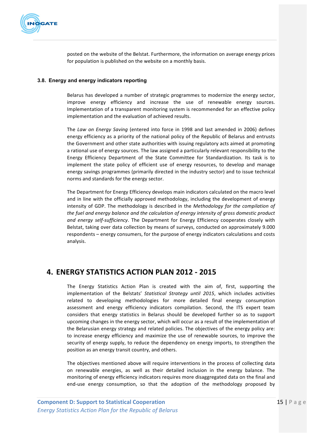

posted on the website of the Belstat. Furthermore, the information on average energy prices for population is published on the website on a monthly basis.

### **3.8. Energy and energy indicators reporting**

Belarus has developed a number of strategic programmes to modernize the energy sector, improve energy efficiency and increase the use of renewable energy sources. Implementation of a transparent monitoring system is recommended for an effective policy implementation and the evaluation of achieved results.

The *Law on Energy Saving* (entered into force in 1998 and last amended in 2006) defines energy efficiency as a priority of the national policy of the Republic of Belarus and entrusts the Government and other state authorities with issuing regulatory acts aimed at promoting a rational use of energy sources. The law assigned a particularly relevant responsibility to the Energy Efficiency Department of the State Committee for Standardization. Its task is to implement the state policy of efficient use of energy resources, to develop and manage energy savings programmes (primarily directed in the industry sector) and to issue technical norms and standards for the energy sector.

The Department for Energy Efficiency develops main indicators calculated on the macro level and in line with the officially approved methodology, including the development of energy intensity of GDP. The methodology is described in the *Methodology for the compilation of* the fuel and energy balance and the calculation of energy intensity of gross domestic product and energy self-sufficiency. The Department for Energy Efficiency cooperates closely with Belstat, taking over data collection by means of surveys, conducted on approximately 9.000 respondents – energy consumers, for the purpose of energy indicators calculations and costs analysis. 

## **4. ENERGY STATISTICS ACTION PLAN 2012 - 2015**

The Energy Statistics Action Plan is created with the aim of, first, supporting the implementation of the Belstats' Statistical Strategy until 2015, which includes activities related to developing methodologies for more detailed final energy consumption assessment and energy efficiency indicators compilation. Second, the ITS expert team considers that energy statistics in Belarus should be developed further so as to support upcoming changes in the energy sector, which will occur as a result of the implementation of the Belarusian energy strategy and related policies. The objectives of the energy policy are: to increase energy efficiency and maximize the use of renewable sources, to improve the security of energy supply, to reduce the dependency on energy imports, to strengthen the position as an energy transit country, and others.

The objectives mentioned above will require interventions in the process of collecting data on renewable energies, as well as their detailed inclusion in the energy balance. The monitoring of energy efficiency indicators requires more disaggregated data on the final and end-use energy consumption, so that the adoption of the methodology proposed by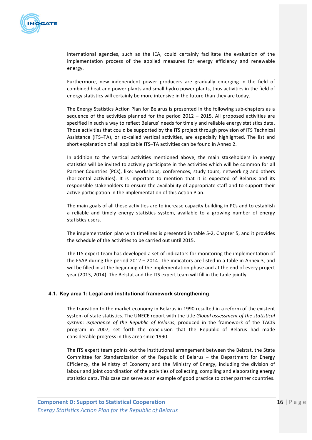

international agencies, such as the IEA, could certainly facilitate the evaluation of the implementation process of the applied measures for energy efficiency and renewable energy. 

Furthermore, new independent power producers are gradually emerging in the field of combined heat and power plants and small hydro power plants, thus activities in the field of energy statistics will certainly be more intensive in the future than they are today.

The Energy Statistics Action Plan for Belarus is presented in the following sub-chapters as a sequence of the activities planned for the period  $2012 - 2015$ . All proposed activities are specified in such a way to reflect Belarus' needs for timely and reliable energy statistics data. Those activities that could be supported by the ITS project through provision of ITS Technical Assistance (ITS-TA), or so-called vertical activities, are especially highlighted. The list and short explanation of all applicable ITS–TA activities can be found in Annex 2.

In addition to the vertical activities mentioned above, the main stakeholders in energy statistics will be invited to actively participate in the activities which will be common for all Partner Countries (PCs), like: workshops, conferences, study tours, networking and others (horizontal activities). It is important to mention that it is expected of Belarus and its responsible stakeholders to ensure the availability of appropriate staff and to support their active participation in the implementation of this Action Plan.

The main goals of all these activities are to increase capacity building in PCs and to establish a reliable and timely energy statistics system, available to a growing number of energy statistics users.

The implementation plan with timelines is presented in table 5-2, Chapter 5, and it provides the schedule of the activities to be carried out until 2015.

The ITS expert team has developed a set of indicators for monitoring the implementation of the ESAP during the period  $2012 - 2014$ . The indicators are listed in a table in Annex 3, and will be filled in at the beginning of the implementation phase and at the end of every project year (2013, 2014). The Belstat and the ITS expert team will fill in the table jointly.

## **4.1. Key area 1: Legal and institutional framework strengthening**

The transition to the market economy in Belarus in 1990 resulted in a reform of the existent system of state statistics. The UNECE report with the title *Global assessment of the statistical* system: experience of the Republic of Belarus, produced in the framework of the TACIS program in 2007, set forth the conclusion that the Republic of Belarus had made considerable progress in this area since 1990.

The ITS expert team points out the institutional arrangement between the Belstat, the State Committee for Standardization of the Republic of Belarus - the Department for Energy Efficiency, the Ministry of Economy and the Ministry of Energy, including the division of labour and joint coordination of the activities of collecting, compiling and elaborating energy statistics data. This case can serve as an example of good practice to other partner countries.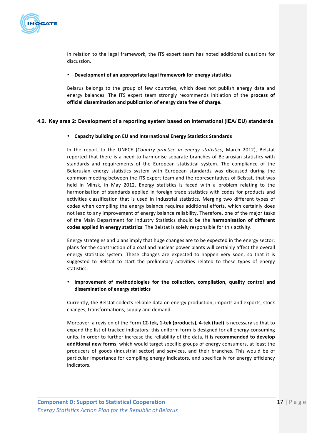

In relation to the legal framework, the ITS expert team has noted additional questions for discussion. 

#### • Development of an appropriate legal framework for energy statistics

Belarus belongs to the group of few countries, which does not publish energy data and energy balances. The ITS expert team strongly recommends initiation of the **process of** official dissemination and publication of energy data free of charge.

## **4.2. Key area 2: Development of a reporting system based on international (IEA/ EU) standards**

## • **Capacity building on EU and International Energy Statistics Standards**

In the report to the UNECE (*Country practice in energy statistics*, March 2012), Belstat reported that there is a need to harmonise separate branches of Belarusian statistics with standards and requirements of the European statistical system. The compliance of the Belarusian energy statistics system with European standards was discussed during the common meeting between the ITS expert team and the representatives of Belstat, that was held in Minsk, in May 2012. Energy statistics is faced with a problem relating to the harmonisation of standards applied in foreign trade statistics with codes for products and activities classification that is used in industrial statistics. Merging two different types of codes when compiling the energy balance requires additional efforts, which certainly does not lead to any improvement of energy balance reliability. Therefore, one of the major tasks of the Main Department for Industry Statistics should be the **harmonisation of different codes applied in energy statistics**. The Belstat is solely responsible for this activity.

Energy strategies and plans imply that huge changes are to be expected in the energy sector; plans for the construction of a coal and nuclear power plants will certainly affect the overall energy statistics system. These changes are expected to happen very soon, so that it is suggested to Belstat to start the preliminary activities related to these types of energy statistics.

## • Improvement of methodologies for the collection, compilation, quality control and **dissemination of energy statistics**

Currently, the Belstat collects reliable data on energy production, imports and exports, stock changes, transformations, supply and demand.

Moreover, a revision of the Form 12-tek, 1-tek (products), 4-tek (fuel) is necessary so that to expand the list of tracked indicators; this uniform form is designed for all energy-consuming units. In order to further increase the reliability of the data, it is recommended to develop additional new forms, which would target specific groups of energy consumers, at least the producers of goods (industrial sector) and services, and their branches. This would be of particular importance for compiling energy indicators, and specifically for energy efficiency indicators.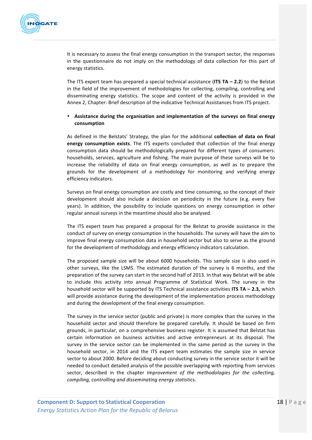

It is necessary to assess the final energy consumption in the transport sector, the responses in the questionnaire do not imply on the methodology of data collection for this part of energy statistics.

The ITS expert team has prepared a special technical assistance (**ITS TA – 2.2**) to the Belstat in the field of the improvement of methodologies for collecting, compiling, controlling and disseminating energy statistics. The scope and content of the activity is provided in the Annex 2, Chapter: Brief description of the indicative Technical Assistances from ITS project.

## • Assistance during the organisation and implementation of the surveys on final energy **consumption**

As defined in the Belstats' Strategy, the plan for the additional **collection of data on final energy consumption exists**. The ITS experts concluded that collection of the final energy consumption data should be methodologically prepared for different types of consumers: households, services, agriculture and fishing. The main purpose of these surveys will be to increase the reliability of data on final energy consumption, as well as to prepare the grounds for the development of a methodology for monitoring and verifying energy efficiency indicators.

Surveys on final energy consumption are costly and time consuming, so the concept of their development should also include a decision on periodicity in the future (e.g. every five years). In addition, the possibility to include questions on energy consumption in other regular annual surveys in the meantime should also be analysed.

The ITS expert team has prepared a proposal for the Belstat to provide assistance in the conduct of survey on energy consumption in the households. The survey will have the aim to improve final energy consumption data in household sector but also to serve as the ground for the development of methodology and energy efficiency indicators calculation.

The proposed sample size will be about 6000 households. This sample size is also used in other surveys, like the LSMS. The estimated duration of the survey is 6 months, and the preparation of the survey can start in the second half of 2013. In that way Belstat will be able to include this activity into annual Programme of Statistical Work. The survey in the household sector will be supported by ITS Technical assistance activities **ITS TA – 2.3,** which will provide assistance during the development of the implementation process methodology and during the development of the final energy consumption.

The survey in the service sector (public and private) is more complex than the survey in the household sector and should therefore be prepared carefully. It should be based on firm grounds, in particular, on a comprehensive business register. It is assumed that Belstat has certain information on business activities and active entrepreneurs at its disposal. The survey in the service sector can be implemented in the same period as the survey in the household sector, in 2014 and the ITS expert team estimates the sample size in service sector to about 2000. Before deciding about conducting survey in the service sector it will be needed to conduct detailed analysis of the possible overlapping with reporting from services sector, described in the chapter *Improvement* of the methodologies for the collecting, *compiling, controlling and disseminating energy statistics.*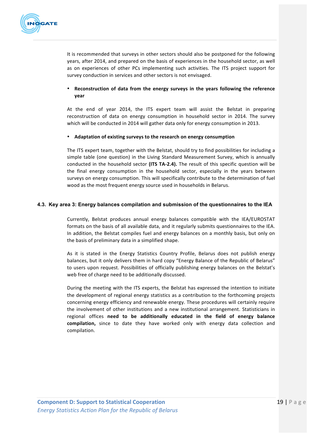

It is recommended that surveys in other sectors should also be postponed for the following years, after 2014, and prepared on the basis of experiences in the household sector, as well as on experiences of other PCs implementing such activities. The ITS project support for survey conduction in services and other sectors is not envisaged.

## • Reconstruction of data from the energy surveys in the years following the reference **year**

At the end of year 2014, the ITS expert team will assist the Belstat in preparing reconstruction of data on energy consumption in household sector in 2014. The survey which will be conducted in 2014 will gather data only for energy consumption in 2013.

## • Adaptation of existing surveys to the research on energy consumption

The ITS expert team, together with the Belstat, should try to find possibilities for including a simple table (one question) in the Living Standard Measurement Survey, which is annually conducted in the household sector (ITS TA-2.4). The result of this specific question will be the final energy consumption in the household sector, especially in the years between surveys on energy consumption. This will specifically contribute to the determination of fuel wood as the most frequent energy source used in households in Belarus.

## **4.3. Key area 3: Energy balances compilation and submission of the questionnaires to the IEA**

Currently, Belstat produces annual energy balances compatible with the IEA/EUROSTAT formats on the basis of all available data, and it regularly submits questionnaires to the IEA. In addition, the Belstat compiles fuel and energy balances on a monthly basis, but only on the basis of preliminary data in a simplified shape.

As it is stated in the Energy Statistics Country Profile, Belarus does not publish energy balances, but it only delivers them in hard copy "Energy Balance of the Republic of Belarus" to users upon request. Possibilities of officially publishing energy balances on the Belstat's web free of charge need to be additionally discussed.

During the meeting with the ITS experts, the Belstat has expressed the intention to initiate the development of regional energy statistics as a contribution to the forthcoming projects concerning energy efficiency and renewable energy. These procedures will certainly require the involvement of other institutions and a new institutional arrangement. Statisticians in regional offices need to be additionally educated in the field of energy balance compilation, since to date they have worked only with energy data collection and compilation.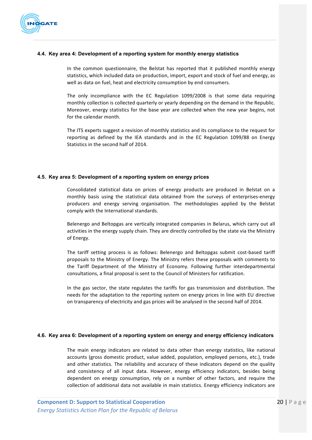

### **4.4. Key area 4: Development of a reporting system for monthly energy statistics**

In the common questionnaire, the Belstat has reported that it published monthly energy statistics, which included data on production, import, export and stock of fuel and energy, as well as data on fuel, heat and electricity consumption by end consumers.

The only incompliance with the EC Regulation  $1099/2008$  is that some data requiring monthly collection is collected quarterly or yearly depending on the demand in the Republic. Moreover, energy statistics for the base year are collected when the new year begins, not for the calendar month.

The ITS experts suggest a revision of monthly statistics and its compliance to the request for reporting as defined by the IEA standards and in the EC Regulation 1099/88 on Energy Statistics in the second half of 2014.

#### **4.5. Key area 5: Development of a reporting system on energy prices**

Consolidated statistical data on prices of energy products are produced in Belstat on a monthly basis using the statistical data obtained from the surveys of enterprises-energy producers and energy serving organisation. The methodologies applied by the Belstat comply with the International standards.

Belenergo and Beltopgas are vertically integrated companies in Belarus, which carry out all activities in the energy supply chain. They are directly controlled by the state via the Ministry of Energy.

The tariff setting process is as follows: Belenergo and Beltopgas submit cost-based tariff proposals to the Ministry of Energy. The Ministry refers these proposals with comments to the Tariff Department of the Ministry of Economy. Following further interdepartmental consultations, a final proposal is sent to the Council of Ministers for ratification.

In the gas sector, the state regulates the tariffs for gas transmission and distribution. The needs for the adaptation to the reporting system on energy prices in line with EU directive on transparency of electricity and gas prices will be analysed in the second half of 2014.

#### **4.6. Key area 6: Development of a reporting system on energy and energy efficiency indicators**

The main energy indicators are related to data other than energy statistics, like national accounts (gross domestic product, value added, population, employed persons, etc.), trade and other statistics. The reliability and accuracy of these indicators depend on the quality and consistency of all input data. However, energy efficiency indicators, besides being dependent on energy consumption, rely on a number of other factors, and require the collection of additional data not available in main statistics. Energy efficiency indicators are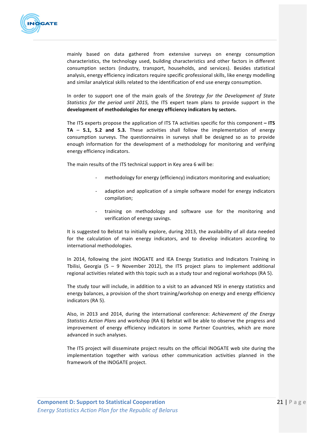

mainly based on data gathered from extensive surveys on energy consumption characteristics, the technology used, building characteristics and other factors in different consumption sectors (industry, transport, households, and services). Besides statistical analysis, energy efficiency indicators require specific professional skills, like energy modelling and similar analytical skills related to the identification of end use energy consumption.

In order to support one of the main goals of the *Strategy for the Development of State Statistics for the period until 2015,* the ITS expert team plans to provide support in the development of methodologies for energy efficiency indicators by sectors.

The ITS experts propose the application of ITS TA activities specific for this component  $-$  ITS **TA** – **5.1, 5.2** and **5.3.** These activities shall follow the implementation of energy consumption surveys. The questionnaires in surveys shall be designed so as to provide enough information for the development of a methodology for monitoring and verifying energy efficiency indicators.

The main results of the ITS technical support in Key area 6 will be:

- methodology for energy (efficiency) indicators monitoring and evaluation;
- adaption and application of a simple software model for energy indicators compilation;
- training on methodology and software use for the monitoring and verification of energy savings.

It is suggested to Belstat to initially explore, during 2013, the availability of all data needed for the calculation of main energy indicators, and to develop indicators according to international methodologies.

In 2014, following the joint INOGATE and IEA Energy Statistics and Indicators Training in Tbilisi, Georgia (5 – 9 November 2012), the ITS project plans to implement additional regional activities related with this topic such as a study tour and regional workshops (RA 5).

The study tour will include, in addition to a visit to an advanced NSI in energy statistics and energy balances, a provision of the short training/workshop on energy and energy efficiency indicators (RA 5).

Also, in 2013 and 2014, during the international conference: Achievement of the Energy *Statistics Action Plans* and workshop (RA 6) Belstat will be able to observe the progress and improvement of energy efficiency indicators in some Partner Countries, which are more advanced in such analyses.

The ITS project will disseminate project results on the official INOGATE web site during the implementation together with various other communication activities planned in the framework of the INOGATE project.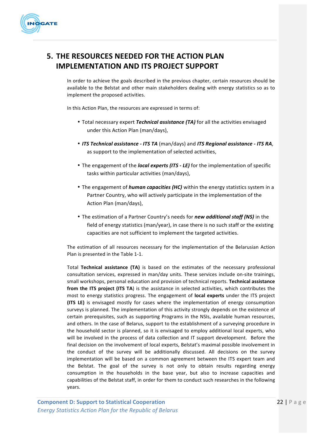

## **5. THE RESOURCES NEEDED FOR THE ACTION PLAN IMPLEMENTATION AND ITS PROJECT SUPPORT**

In order to achieve the goals described in the previous chapter, certain resources should be available to the Belstat and other main stakeholders dealing with energy statistics so as to implement the proposed activities.

In this Action Plan, the resources are expressed in terms of:

- Total necessary expert *Technical assistance (TA)* for all the activities envisaged under this Action Plan (man/days),
- *ITS Technical assistance - ITS TA* (man/days) and *ITS Regional assistance - ITS RA*, as support to the implementation of selected activities,
- The engagement of the *local experts (ITS LE)* for the implementation of specific tasks within particular activities (man/days),
- The engagement of *human capacities (HC)* within the energy statistics system in a Partner Country, who will actively participate in the implementation of the Action Plan (man/days),
- The estimation of a Partner Country's needs for *new additional staff (NS)* in the field of energy statistics (man/year), in case there is no such staff or the existing capacities are not sufficient to implement the targeted activities.

The estimation of all resources necessary for the implementation of the Belarusian Action Plan is presented in the Table 1-1.

Total **Technical assistance (TA)** is based on the estimates of the necessary professional consultation services, expressed in man/day units. These services include on-site trainings, small workshops, personal education and provision of technical reports. **Technical assistance from the ITS project (ITS TA)** is the assistance in selected activities, which contributes the most to energy statistics progress. The engagement of **local experts** under the ITS project **(ITS LE)** is envisaged mostly for cases where the implementation of energy consumption surveys is planned. The implementation of this activity strongly depends on the existence of certain prerequisites, such as supporting Programs in the NSIs, available human resources, and others. In the case of Belarus, support to the establishment of a surveying procedure in the household sector is planned, so it is envisaged to employ additional local experts, who will be involved in the process of data collection and IT support development. Before the final decision on the involvement of local experts, Belstat's maximal possible involvement in the conduct of the survey will be additionally discussed. All decisions on the survey implementation will be based on a common agreement between the ITS expert team and the Belstat. The goal of the survey is not only to obtain results regarding energy consumption in the households in the base year, but also to increase capacities and capabilities of the Belstat staff, in order for them to conduct such researches in the following years.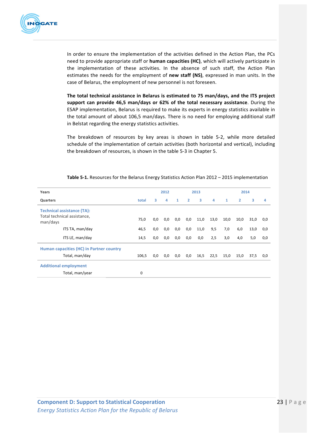

In order to ensure the implementation of the activities defined in the Action Plan, the PCs need to provide appropriate staff or **human capacities (HC)**, which will actively participate in the implementation of these activities. In the absence of such staff, the Action Plan estimates the needs for the employment of new staff (NS), expressed in man units. In the case of Belarus, the employment of new personnel is not foreseen.

The total technical assistance in Belarus is estimated to 75 man/days, and the ITS project support can provide 46,5 man/days or 62% of the total necessary assistance. During the ESAP implementation, Belarus is required to make its experts in energy statistics available in the total amount of about 106,5 man/days. There is no need for employing additional staff in Belstat regarding the energy statistics activities.

The breakdown of resources by key areas is shown in table 5-2, while more detailed schedule of the implementation of certain activities (both horizontal and vertical), including the breakdown of resources, is shown in the table 5-3 in Chapter 5.

| Years                                    |       | 2012 |     |              | 2013           |      |      | 2014         |                |      |     |
|------------------------------------------|-------|------|-----|--------------|----------------|------|------|--------------|----------------|------|-----|
| Quarters                                 | total | 3    | 4   | $\mathbf{1}$ | $\overline{2}$ | 3    | 4    | $\mathbf{1}$ | $\overline{2}$ | 3    | 4   |
| <b>Technical assistance (TA):</b>        |       |      |     |              |                |      |      |              |                |      |     |
| Total technical assistance,<br>man/days  | 75,0  | 0,0  | 0,0 | 0,0          | 0,0            | 11,0 | 13,0 | 10,0         | 10,0           | 31,0 | 0,0 |
| ITS TA, man/day                          | 46,5  | 0,0  | 0,0 | 0,0          | 0,0            | 11,0 | 9,5  | 7,0          | 6,0            | 13,0 | 0,0 |
| ITS LE, man/day                          | 14,5  | 0,0  | 0,0 | 0,0          | 0,0            | 0,0  | 2,5  | 3,0          | 4,0            | 5,0  | 0,0 |
| Human capacities (HC) in Partner country |       |      |     |              |                |      |      |              |                |      |     |
| Total, man/day                           | 106,5 | 0,0  | 0,0 | 0,0          | 0,0            | 16,5 | 22,5 | 15,0         | 15,0           | 37,5 | 0,0 |
| <b>Additional employment</b>             |       |      |     |              |                |      |      |              |                |      |     |
| Total, man/year                          | 0     |      |     |              |                |      |      |              |                |      |     |

**Table 5-1.** Resources for the Belarus Energy Statistics Action Plan 2012 – 2015 implementation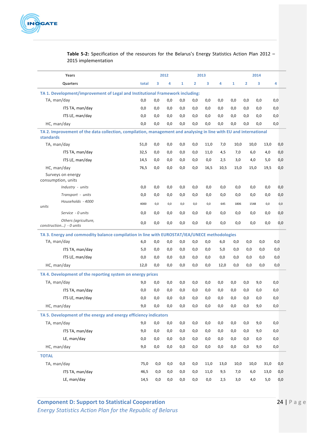

| Years                                                                                                                                 |       |     | 2012 |              | 2013           |      |      | 2014         |                |      |     |
|---------------------------------------------------------------------------------------------------------------------------------------|-------|-----|------|--------------|----------------|------|------|--------------|----------------|------|-----|
| Quarters                                                                                                                              | total | 3   | 4    | $\mathbf{1}$ | $\overline{2}$ | 3    | 4    | $\mathbf{1}$ | $\overline{2}$ | 3    | 4   |
| TA 1. Development/improvement of Legal and Institutional Framework including:                                                         |       |     |      |              |                |      |      |              |                |      |     |
| TA, man/day                                                                                                                           | 0,0   | 0,0 | 0,0  | 0,0          | 0,0            | 0,0  | 0,0  | 0,0          | 0,0            | 0,0  | 0,0 |
| ITS TA, man/day                                                                                                                       | 0,0   | 0,0 | 0,0  | 0,0          | 0,0            | 0,0  | 0,0  | 0,0          | 0,0            | 0,0  | 0,0 |
| ITS LE, man/day                                                                                                                       | 0,0   | 0,0 | 0,0  | 0,0          | 0,0            | 0,0  | 0,0  | 0,0          | 0,0            | 0,0  | 0,0 |
| HC, man/day                                                                                                                           | 0,0   | 0,0 | 0,0  | 0,0          | 0,0            | 0,0  | 0,0  | 0,0          | 0,0            | 0,0  | 0,0 |
| TA 2. Improvement of the data collection, compilation, management and analysing in line with EU and international<br><b>standards</b> |       |     |      |              |                |      |      |              |                |      |     |
| TA, man/day                                                                                                                           | 51,0  | 0,0 | 0,0  | 0,0          | 0,0            | 11,0 | 7,0  | 10,0         | 10,0           | 13,0 | 0,0 |
| ITS TA, man/day                                                                                                                       | 32,5  | 0,0 | 0,0  | 0,0          | 0,0            | 11,0 | 4,5  | 7,0          | 6,0            | 4,0  | 0,0 |
| ITS LE, man/day                                                                                                                       | 14,5  | 0,0 | 0,0  | 0,0          | 0,0            | 0,0  | 2,5  | 3,0          | 4,0            | 5,0  | 0,0 |
| HC, man/day                                                                                                                           | 76,5  | 0,0 | 0,0  | 0,0          | 0,0            | 16,5 | 10,5 | 15,0         | 15,0           | 19,5 | 0,0 |
| Surveys on energy<br>consumption, units                                                                                               |       |     |      |              |                |      |      |              |                |      |     |
| Industry - units                                                                                                                      | 0,0   | 0,0 | 0,0  | 0,0          | 0,0            | 0,0  | 0,0  | 0,0          | 0,0            | 0,0  | 0,0 |
| Transport - units                                                                                                                     | 0,0   | 0,0 | 0,0  | 0,0          | 0,0            | 0,0  | 0,0  | 0,0          | 0,0            | 0,0  | 0,0 |
| Households - 4000<br>units                                                                                                            | 4000  | 0,0 | 0,0  | 0,0          | 0,0            | 0,0  | 645  | 1806         | 1548           | 0,0  | 0,0 |
| Service - 0 units                                                                                                                     | 0,0   | 0,0 | 0,0  | 0,0          | 0,0            | 0,0  | 0,0  | 0,0          | 0,0            | 0,0  | 0,0 |
| Others (agriculture,<br>construction) - 0 units                                                                                       | 0,0   | 0,0 | 0,0  | 0,0          | 0,0            | 0,0  | 0,0  | 0,0          | 0,0            | 0,0  | 0,0 |
| TA 3. Energy and commodity balance compilation in line with EUROSTAT/IEA/UNECE methodologies                                          |       |     |      |              |                |      |      |              |                |      |     |
| TA, man/day                                                                                                                           | 6,0   | 0,0 | 0,0  | 0,0          | 0,0            | 0,0  | 6,0  | 0,0          | 0,0            | 0,0  | 0,0 |
| ITS TA, man/day                                                                                                                       | 5,0   | 0,0 | 0,0  | 0,0          | 0,0            | 0,0  | 5,0  | 0,0          | 0,0            | 0,0  | 0,0 |
| ITS LE, man/day                                                                                                                       | 0,0   | 0,0 | 0,0  | 0,0          | 0,0            | 0,0  | 0,0  | 0,0          | 0,0            | 0,0  | 0,0 |
| HC, man/day                                                                                                                           | 12,0  | 0,0 | 0,0  | 0,0          | 0,0            | 0,0  | 12,0 | 0,0          | 0,0            | 0,0  | 0,0 |
| TA 4. Development of the reporting system on energy prices                                                                            |       |     |      |              |                |      |      |              |                |      |     |
| TA, man/day                                                                                                                           | 9,0   | 0,0 | 0,0  | 0,0          | 0,0            | 0,0  | 0,0  | 0,0          | 0,0            | 9,0  | 0,0 |
| ITS TA, man/day                                                                                                                       | 0,0   | 0,0 | 0,0  | 0,0          | 0,0            | 0,0  | 0,0  | 0,0          | 0,0            | 0,0  | 0,0 |
| ITS LE, man/day                                                                                                                       | 0,0   | 0,0 | 0,0  | 0,0          | 0,0            | 0,0  | 0,0  | 0,0          | 0,0            | 0,0  | 0,0 |
| HC, man/day                                                                                                                           | 9,0   | 0,0 | 0,0  | 0,0          | 0,0            | 0,0  | 0,0  | 0,0          | 0,0            | 9,0  | 0,0 |
| TA 5. Development of the energy and energy efficiency indicators                                                                      |       |     |      |              |                |      |      |              |                |      |     |
| TA, man/day                                                                                                                           | 9,0   | 0,0 | 0,0  | 0,0          | 0,0            | 0,0  | 0,0  | 0,0          | 0,0            | 9,0  | 0,0 |
| ITS TA, man/day                                                                                                                       | 9,0   | 0,0 | 0,0  | 0,0          | 0,0            | 0,0  | 0,0  | 0,0          | 0,0            | 9,0  | 0,0 |
| LE, man/day                                                                                                                           | 0,0   | 0,0 | 0,0  | 0,0          | 0,0            | 0,0  | 0,0  | 0,0          | 0,0            | 0,0  | 0,0 |
| HC, man/day                                                                                                                           | 9,0   | 0,0 | 0,0  | 0,0          | 0,0            | 0,0  | 0,0  | 0,0          | 0,0            | 9,0  | 0,0 |
| <b>TOTAL</b>                                                                                                                          |       |     |      |              |                |      |      |              |                |      |     |
| TA, man/day                                                                                                                           | 75,0  | 0,0 | 0,0  | 0,0          | 0,0            | 11,0 | 13,0 | 10,0         | 10,0           | 31,0 | 0,0 |
| ITS TA, man/day                                                                                                                       | 46,5  | 0,0 | 0,0  | 0,0          | 0,0            | 11,0 | 9,5  | 7,0          | 6,0            | 13,0 | 0,0 |
| LE, man/day                                                                                                                           | 14,5  | 0,0 | 0,0  | 0,0          | 0,0            | 0,0  | 2,5  | 3,0          | 4,0            | 5,0  | 0,0 |

## **Table 5-2:** Specification of the resources for the Belarus's Energy Statistics Action Plan 2012 -2015 implementation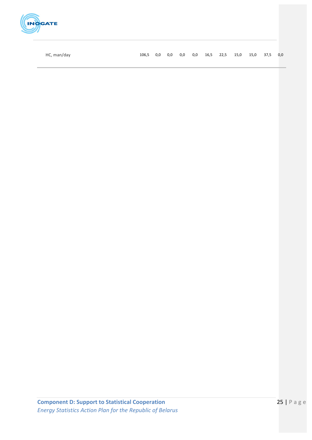

HC, man/day 106,5 0,0 0,0 0,0 0,0 16,5 22,5 15,0 15,0 37,5 0,0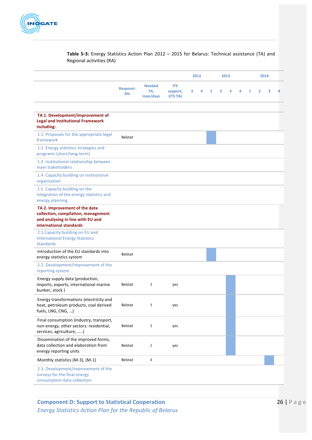

## Table 5-3: Energy Statistics Action Plan 2012 - 2015 for Belarus: Technical assistance (TA) and Regional activities (RA)

|                                                                                                                                      |                         |                                  |                                    |   | 2012 |   |                | 2013 |   |   | 2014           |   |  |
|--------------------------------------------------------------------------------------------------------------------------------------|-------------------------|----------------------------------|------------------------------------|---|------|---|----------------|------|---|---|----------------|---|--|
|                                                                                                                                      | <b>Responsi-</b><br>ble | <b>Needed</b><br>TA,<br>man/days | <b>ITS</b><br>support,<br>(ITS TA) | з | 4    | 1 | $\overline{2}$ | з    | 4 | 1 | $\overline{2}$ | з |  |
| TA 1. Development/improvement of<br><b>Legal and Institutional Framework</b><br>including:                                           |                         |                                  |                                    |   |      |   |                |      |   |   |                |   |  |
| 1.1 Proposals for the appropriate legal<br>framework                                                                                 | <b>Belstat</b>          |                                  |                                    |   |      |   |                |      |   |   |                |   |  |
| 1.2 Energy statistics strategies and<br>programs (short/long-term)                                                                   |                         |                                  |                                    |   |      |   |                |      |   |   |                |   |  |
| 1.3 Institutional relationship between<br>main stakeholders                                                                          |                         |                                  |                                    |   |      |   |                |      |   |   |                |   |  |
| 1.4 Capacity building on institutional<br>organisation                                                                               |                         |                                  |                                    |   |      |   |                |      |   |   |                |   |  |
| 1.5 Capacity building on the<br>integration of the energy statistics and<br>energy planning                                          |                         |                                  |                                    |   |      |   |                |      |   |   |                |   |  |
| TA 2. Improvement of the data<br>collection, compilation, management<br>and analysing in line with EU and<br>international standards |                         |                                  |                                    |   |      |   |                |      |   |   |                |   |  |
| 2.1. Capacity building on EU and<br><b>International Energy Statistics</b><br><b>Standards</b>                                       |                         |                                  |                                    |   |      |   |                |      |   |   |                |   |  |
| Introduction of the EU standards into<br>energy statistics system                                                                    | <b>Belstat</b>          |                                  |                                    |   |      |   |                |      |   |   |                |   |  |
| 2.2. Development/improvement of the<br>reporting system                                                                              |                         |                                  |                                    |   |      |   |                |      |   |   |                |   |  |
| Energy supply data (production,<br>imports, exports, international marine<br>bunker, stock)                                          | <b>Belstat</b>          | 3                                | yes                                |   |      |   |                |      |   |   |                |   |  |
| Energy transformations (electricity and<br>heat, petroleum products, coal derived<br>fuels, LNG, CNG, )                              | Belstat                 | 3                                | yes                                |   |      |   |                |      |   |   |                |   |  |
| Final consumption (industry, transport,<br>non-energy, other sectors: residential,<br>services, agriculture, )                       | Belstat                 | 3                                | yes                                |   |      |   |                |      |   |   |                |   |  |
| Dissemination of the improved forms,<br>data collection and elaboration from<br>energy reporting units                               | Belstat                 | $\overline{2}$                   | yes                                |   |      |   |                |      |   |   |                |   |  |
| Monthly statistics (M-3), (M-1)                                                                                                      | Belstat                 | 4                                |                                    |   |      |   |                |      |   |   |                |   |  |
| 2.3. Development/improvement of the<br>surveys for the final energy<br>consumption data collection:                                  |                         |                                  |                                    |   |      |   |                |      |   |   |                |   |  |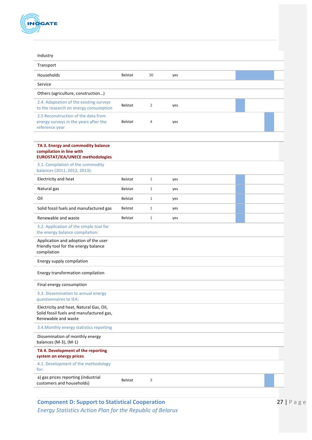

| Industry                                                                                                   |                |                |     |  |  |
|------------------------------------------------------------------------------------------------------------|----------------|----------------|-----|--|--|
| Transport                                                                                                  |                |                |     |  |  |
| Households                                                                                                 | <b>Belstat</b> | 30             | yes |  |  |
| Service                                                                                                    |                |                |     |  |  |
| Others (agriculture, construction)                                                                         |                |                |     |  |  |
| 2.4. Adaptation of the existing surveys<br>to the research on energy consumption                           | Belstat        | $\overline{2}$ | yes |  |  |
| 2.5 Reconstruction of the data from<br>energy surveys in the years after the<br>reference year             | <b>Belstat</b> | 4              | yes |  |  |
| TA 3. Energy and commodity balance<br>compilation in line with<br><b>EUROSTAT/IEA/UNECE methodologies</b>  |                |                |     |  |  |
| 3.1. Compilation of the commodity<br>balances (2011, 2012, 2013):                                          |                |                |     |  |  |
| Electricity and heat                                                                                       | <b>Belstat</b> | $\mathbf{1}$   | yes |  |  |
| Natural gas                                                                                                | <b>Belstat</b> | $\mathbf{1}$   | yes |  |  |
| Oil                                                                                                        | <b>Belstat</b> | $\mathbf{1}$   | yes |  |  |
| Solid fossil fuels and manufactured gas                                                                    | <b>Belstat</b> | $\mathbf{1}$   | yes |  |  |
| Renewable and waste                                                                                        | <b>Belstat</b> | $\mathbf{1}$   | yes |  |  |
| 3.2. Application of the simple tool for<br>the energy balance compilation:                                 |                |                |     |  |  |
| Application and adoption of the user<br>friendly tool for the energy balance<br>compilation                |                |                |     |  |  |
| Energy supply compilation                                                                                  |                |                |     |  |  |
| Energy transformation compilation                                                                          |                |                |     |  |  |
| Final energy consumption                                                                                   |                |                |     |  |  |
| 3.3. Dissemination to annual energy<br>questionnaires to IEA:                                              |                |                |     |  |  |
| Electricity and heat, Natural Gas, Oil,<br>Solid fossil fuels and manufactured gas,<br>Renewable and waste |                |                |     |  |  |
| 3.4. Monthly energy statistics reporting                                                                   |                |                |     |  |  |
| Dissemination of monthly energy<br>balances (M-3), (M-1)                                                   |                |                |     |  |  |
| TA 4. Development of the reporting<br>system on energy prices                                              |                |                |     |  |  |
| 4.1. Development of the methodology<br>for:                                                                |                |                |     |  |  |
| a) gas prices reporting (industrial<br>customers and households)                                           | <b>Belstat</b> | 3              |     |  |  |
|                                                                                                            |                |                |     |  |  |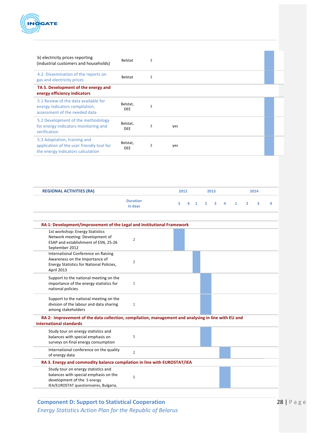

| b) electricity prices reporting<br>(industrial customers and households)                                       | Belstat                | 3 |     |  |  |
|----------------------------------------------------------------------------------------------------------------|------------------------|---|-----|--|--|
| 4.2. Dissemination of the reports on<br>gas and electricity prices                                             | <b>Belstat</b>         | 3 |     |  |  |
| TA 5. Development of the energy and<br>energy efficiency indicators                                            |                        |   |     |  |  |
| 5.1 Review of the data available for<br>energy indicators compilation,<br>assessment of the needed data        | Belstat,<br><b>DEE</b> | 3 |     |  |  |
| 5.2 Development of the methodology<br>for energy indicators monitoring and<br>verification                     | Belstat,<br><b>DEE</b> | 3 | yes |  |  |
| 5.3 Adaptation, training and<br>application of the user friendly tool for<br>the energy indicators calculation | Belstat,<br><b>DEE</b> | 3 | yes |  |  |

| <b>REGIONAL ACTIVITIES (RA)</b>                                                                                                                       |                            | 2012 |   |              |                | 2013 |   |              | 2014           |   |   |
|-------------------------------------------------------------------------------------------------------------------------------------------------------|----------------------------|------|---|--------------|----------------|------|---|--------------|----------------|---|---|
|                                                                                                                                                       | <b>Duration</b><br>in days | 3    | 4 | $\mathbf{1}$ | $\overline{2}$ | 3    | 4 | $\mathbf{1}$ | $\overline{2}$ | з | 4 |
| RA 1: Development/improvement of the Legal and Institutional Framework                                                                                |                            |      |   |              |                |      |   |              |                |   |   |
| 1st workshop: Energy Statistics<br>Network meeting: Development of<br>ESAP and establishment of ESN, 25-26<br>September 2012                          | $\overline{2}$             |      |   |              |                |      |   |              |                |   |   |
| International Conference on Raising<br>Awareness on the Importance of<br>Energy Statistics for National Policies,<br>April 2013                       | 2                          |      |   |              |                |      |   |              |                |   |   |
| Support to the national meeting on the<br>importance of the energy statistics for<br>national policies                                                | $\mathbf{1}$               |      |   |              |                |      |   |              |                |   |   |
| Support to the national meeting on the<br>division of the labour and data sharing<br>among stakeholders                                               | $\mathbf{1}$               |      |   |              |                |      |   |              |                |   |   |
| RA 2: Improvement of the data collection, compilation, management and analysing in line with EU and<br>international standards                        |                            |      |   |              |                |      |   |              |                |   |   |
| Study tour on energy statistics and<br>balances with special emphasis on<br>surveys on final energy consumption                                       | 5                          |      |   |              |                |      |   |              |                |   |   |
| International conference on the quality<br>of energy data                                                                                             | $\overline{2}$             |      |   |              |                |      |   |              |                |   |   |
| RA 3. Energy and commodity balance compilation in line with EUROSTAT/IEA                                                                              |                            |      |   |              |                |      |   |              |                |   |   |
| Study tour on energy statistics and<br>balances with special emphasis on the<br>development of the 5 energy<br>IEA/EUROSTAT questionnaires, Bulgaria, | 5                          |      |   |              |                |      |   |              |                |   |   |

**Component D: Support to Statistical Cooperation 28 | Page** *Energy Statistics Action Plan for the Republic of Belarus*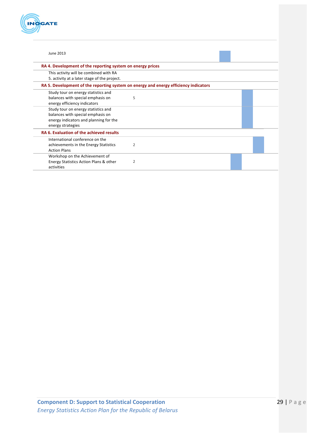

| June 2013                                                                            |                |  |  |  |  |
|--------------------------------------------------------------------------------------|----------------|--|--|--|--|
| RA 4. Development of the reporting system on energy prices                           |                |  |  |  |  |
| This activity will be combined with RA                                               |                |  |  |  |  |
| 5. activity at a later stage of the project.                                         |                |  |  |  |  |
| RA 5. Development of the reporting system on energy and energy efficiency indicators |                |  |  |  |  |
| Study tour on energy statistics and                                                  |                |  |  |  |  |
| balances with special emphasis on<br>energy efficiency indicators                    | 5              |  |  |  |  |
| Study tour on energy statistics and                                                  |                |  |  |  |  |
| balances with special emphasis on                                                    |                |  |  |  |  |
| energy indicators and planning for the                                               |                |  |  |  |  |
| energy strategies                                                                    |                |  |  |  |  |
| RA 6. Evaluation of the achieved results                                             |                |  |  |  |  |
| International conference on the                                                      |                |  |  |  |  |
| achievements in the Energy Statistics                                                | $\overline{2}$ |  |  |  |  |
| <b>Action Plans</b>                                                                  |                |  |  |  |  |
| Workshop on the Achievement of                                                       |                |  |  |  |  |
| Energy Statistics Action Plans & other<br>activities                                 | 2              |  |  |  |  |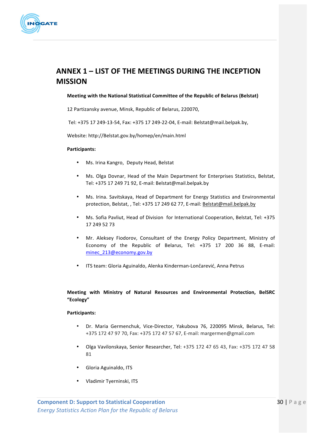

## **ANNEX 1 – LIST OF THE MEETINGS DURING THE INCEPTION MISSION**

#### **Meeting with the National Statistical Committee of the Republic of Belarus (Belstat)**

12 Partizansky avenue, Minsk, Republic of Belarus, 220070,

Tel: +375 17 249-13-54, Fax: +375 17 249-22-04, E-mail: Belstat@mail.belpak.by,

Website: http://Belstat.gov.by/homep/en/main.html

#### **Participants:**

- Ms. Irina Kangro, Deputy Head, Belstat
- Ms. Olga Dovnar, Head of the Main Department for Enterprises Statistics, Belstat, Tel: +375 17 249 71 92, E-mail: Belstat@mail.belpak.by
- Ms. Irina. Savitskaya, Head of Department for Energy Statistics and Environmental protection, Belstat, , Tel: +375 17 249 62 77, E-mail: Belstat@mail.belpak.by
- Ms. Sofia Pavliut, Head of Division for International Cooperation, Belstat, Tel: +375 17 249 52 73
- Mr. Aleksey Fiodorov, Consultant of the Energy Policy Department, Ministry of Economy of the Republic of Belarus, Tel: +375 17 200 36 88, E-mail: minec\_213@economy.gov.by
- ITS team: Gloria Aguinaldo, Alenka Kinderman-Lončarević, Anna Petrus

## **Meeting with Ministry of Natural Resources and Environmental Protection, BelSRC "Ecology"**

#### **Participants:**

- Dr. Maria Germenchuk, Vice-Director, Yakubova 76, 220095 Minsk, Belarus, Tel: +375 172 47 97 70, Fax: +375 172 47 57 67, E-mail: margermen@gmail.com
- Olga Vavilonskaya, Senior Researcher, Tel: +375 172 47 65 43, Fax: +375 172 47 58 81
- Gloria Aguinaldo, ITS
- Vladimir Tyerninski, ITS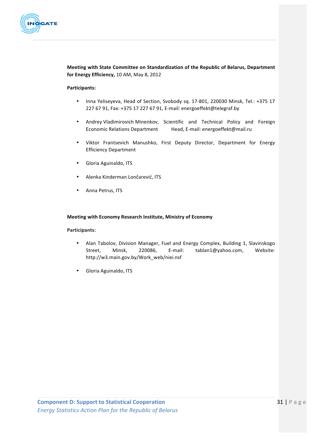

**Meeting with State Committee on Standardization of the Republic of Belarus, Department** for Energy Efficiency, 10 AM, May 8, 2012

#### **Participants:**

- Inna Yeliseyeva, Head of Section, Svobody sq. 17-801, 220030 Minsk, Tel.: +375 17 227 67 91, Fax: +375 17 227 67 91, E-mail: energoeffekt@telegraf.by
- Andrey Vladimirovich Minenkov, Scientific and Technical Policy and Foreign Economic Relations Department Head, E-mail: energoeffekt@mail.ru
- Viktor Frantsevich Manushko, First Deputy Director, Department for Energy Efficiency Department
- Gloria Aguinaldo, ITS
- Alenka Kinderman Lončarević, ITS
- Anna Petrus, ITS

#### **Meeting with Economy Research Institute, Ministry of Economy**

#### **Participants:**

- Alan Tabolov, Division Manager, Fuel and Energy Complex, Building 1, Slavinskogo Street, Minsk, 220086, E-mail: tablan1@yahoo.com, Website: http://w3.main.gov.by/Work\_web/niei.nsf
- Gloria Aguinaldo, ITS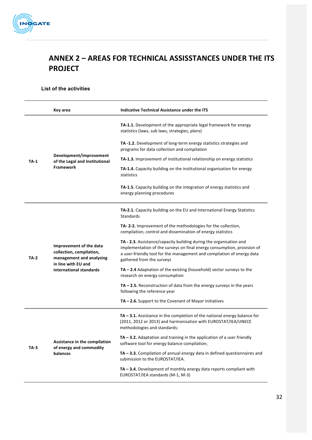

## **ANNEX 2 - AREAS FOR TECHNICAL ASSISSTANCES UNDER THE ITS PROJECT**

## **List of the activities**

|             | Key area                                                                                                                          | Indicative Technical Assistance under the ITS                                                                                                                                                                                                        |
|-------------|-----------------------------------------------------------------------------------------------------------------------------------|------------------------------------------------------------------------------------------------------------------------------------------------------------------------------------------------------------------------------------------------------|
|             |                                                                                                                                   | TA-1.1. Development of the appropriate legal framework for energy<br>statistics (laws, sub laws, strategies, plans)                                                                                                                                  |
|             |                                                                                                                                   | TA-1.2. Development of long-term energy statistics strategies and<br>programs for data collection and compilation                                                                                                                                    |
| $TA-1$      | Development/improvement<br>of the Legal and Institutional                                                                         | <b>TA-1.3.</b> Improvement of institutional relationship on energy statistics                                                                                                                                                                        |
|             | <b>Framework</b>                                                                                                                  | TA-1.4. Capacity building on the institutional organisation for energy<br>statistics                                                                                                                                                                 |
|             |                                                                                                                                   | TA-1.5. Capacity building on the integration of energy statistics and<br>energy planning procedures                                                                                                                                                  |
|             |                                                                                                                                   | TA-2.1. Capacity building on the EU and International Energy Statistics<br><b>Standards</b>                                                                                                                                                          |
|             | Improvement of the data<br>collection, compilation,<br>management and analysing<br>in line with EU and<br>international standards | TA-2-2. Improvement of the methodologies for the collection,<br>compilation, control and dissemination of energy statistics                                                                                                                          |
| <b>TA-2</b> |                                                                                                                                   | TA - 2.3. Assistance/capacity building during the organisation and<br>implementation of the surveys on final energy consumption, provision of<br>a user-friendly tool for the management and compilation of energy data<br>gathered from the surveys |
|             |                                                                                                                                   | $TA - 2.4$ Adaptation of the existing (household) sector surveys to the<br>research on energy consumption                                                                                                                                            |
|             |                                                                                                                                   | $TA - 2.5$ . Reconstruction of data from the energy surveys in the years<br>following the reference year                                                                                                                                             |
|             |                                                                                                                                   | $TA - 2.6$ . Support to the Covenant of Mayor initiatives                                                                                                                                                                                            |
|             |                                                                                                                                   | $TA - 3.1$ . Assistance in the completion of the national energy balance for<br>(2011, 2012 or 2013) and harmonisation with EUROSTAT/IEA/UNECE<br>methodologies and standards;                                                                       |
| TA-3        | Assistance in the compilation<br>of energy and commodity                                                                          | TA - 3.2. Adaptation and training in the application of a user friendly<br>software tool for energy balance compilation;                                                                                                                             |
|             | balances                                                                                                                          | $TA - 3.3$ . Compilation of annual energy data in defined questionnaires and<br>submission to the EUROSTAT/IEA.                                                                                                                                      |
|             |                                                                                                                                   | $TA - 3.4$ . Development of monthly energy data reports compliant with<br>EUROSTAT/IEA standards (M-1, M-3)                                                                                                                                          |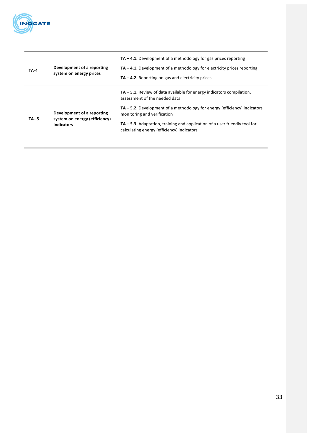

| <b>TA-4</b> | Development of a reporting<br>system on energy prices                     | $TA - 4.1$ . Development of a methodology for gas prices reporting<br>$TA - 4.1$ . Development of a methodology for electricity prices reporting<br>$TA - 4.2$ . Reporting on gas and electricity prices |
|-------------|---------------------------------------------------------------------------|----------------------------------------------------------------------------------------------------------------------------------------------------------------------------------------------------------|
|             |                                                                           | $TA - 5.1$ . Review of data available for energy indicators compilation,<br>assessment of the needed data                                                                                                |
| $TA - 5$    | Development of a reporting<br>system on energy (efficiency)<br>indicators | $TA - 5.2$ . Development of a methodology for energy (efficiency) indicators<br>monitoring and verification                                                                                              |
|             |                                                                           | $TA - 5.3$ . Adaptation, training and application of a user friendly tool for<br>calculating energy (efficiency) indicators                                                                              |
|             |                                                                           |                                                                                                                                                                                                          |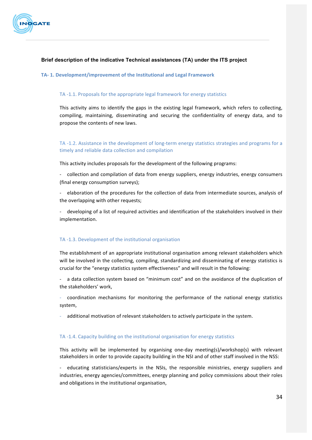

## **Brief description of the indicative Technical assistances (TA) under the ITS project**

#### **TA- 1. Development/improvement of the Institutional and Legal Framework**

### TA -1.1. Proposals for the appropriate legal framework for energy statistics

This activity aims to identify the gaps in the existing legal framework, which refers to collecting, compiling, maintaining, disseminating and securing the confidentiality of energy data, and to propose the contents of new laws.

TA -1.2. Assistance in the development of long-term energy statistics strategies and programs for a timely and reliable data collection and compilation

This activity includes proposals for the development of the following programs:

- collection and compilation of data from energy suppliers, energy industries, energy consumers (final energy consumption surveys);

elaboration of the procedures for the collection of data from intermediate sources, analysis of the overlapping with other requests;

- developing of a list of required activities and identification of the stakeholders involved in their implementation.

#### TA -1.3. Development of the institutional organisation

The establishment of an appropriate institutional organisation among relevant stakeholders which will be involved in the collecting, compiling, standardizing and disseminating of energy statistics is crucial for the "energy statistics system effectiveness" and will result in the following:

- a data collection system based on "minimum cost" and on the avoidance of the duplication of the stakeholders' work,

coordination mechanisms for monitoring the performance of the national energy statistics system,

additional motivation of relevant stakeholders to actively participate in the system.

#### TA -1.4. Capacity building on the institutional organisation for energy statistics

This activity will be implemented by organising one-day meeting(s)/workshop(s) with relevant stakeholders in order to provide capacity building in the NSI and of other staff involved in the NSS:

educating statisticians/experts in the NSIs, the responsible ministries, energy suppliers and industries, energy agencies/committees, energy planning and policy commissions about their roles and obligations in the institutional organisation,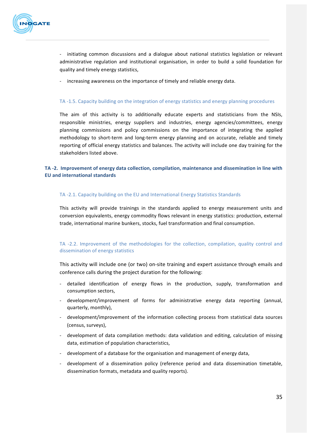

- initiating common discussions and a dialogue about national statistics legislation or relevant administrative regulation and institutional organisation, in order to build a solid foundation for quality and timely energy statistics,

- increasing awareness on the importance of timely and reliable energy data.

#### TA -1.5. Capacity building on the integration of energy statistics and energy planning procedures

The aim of this activity is to additionally educate experts and statisticians from the NSIs, responsible ministries, energy suppliers and industries, energy agencies/committees, energy planning commissions and policy commissions on the importance of integrating the applied methodology to short-term and long-term energy planning and on accurate, reliable and timely reporting of official energy statistics and balances. The activity will include one day training for the stakeholders listed above.

## TA -2. Improvement of energy data collection, compilation, maintenance and dissemination in line with **EU and international standards**

#### TA -2.1. Capacity building on the EU and International Energy Statistics Standards

This activity will provide trainings in the standards applied to energy measurement units and conversion equivalents, energy commodity flows relevant in energy statistics: production, external trade, international marine bunkers, stocks, fuel transformation and final consumption.

## TA -2.2. Improvement of the methodologies for the collection, compilation, quality control and dissemination of energy statistics

This activity will include one (or two) on-site training and expert assistance through emails and conference calls during the project duration for the following:

- detailed identification of energy flows in the production, supply, transformation and consumption sectors,
- development/improvement of forms for administrative energy data reporting (annual, quarterly, monthly),
- development/improvement of the information collecting process from statistical data sources (census, surveys),
- development of data compilation methods: data validation and editing, calculation of missing data, estimation of population characteristics,
- development of a database for the organisation and management of energy data,
- development of a dissemination policy (reference period and data dissemination timetable, dissemination formats, metadata and quality reports).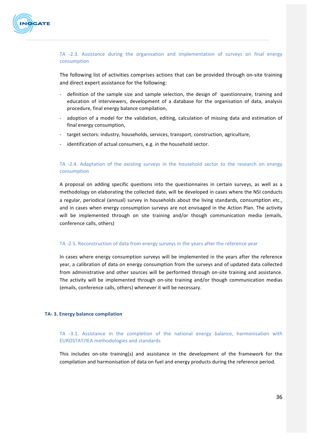

## TA -2.3. Assistance during the organisation and implementation of surveys on final energy consumption

The following list of activities comprises actions that can be provided through on-site training and direct expert assistance for the following:

- definition of the sample size and sample selection, the design of questionnaire, training and education of interviewers, development of a database for the organisation of data, analysis procedure, final energy balance compilation,
- adoption of a model for the validation, editing, calculation of missing data and estimation of final energy consumption,
- target sectors: industry, households, services, transport, construction, agriculture,
- identification of actual consumers, e.g. in the household sector.

## TA -2.4. Adaptation of the existing surveys in the household sector to the research on energy consumption

A proposal on adding specific questions into the questionnaires in certain surveys, as well as a methodology on elaborating the collected date, will be developed in cases where the NSI conducts a regular, periodical (annual) survey in households about the living standards, consumption etc., and in cases when energy consumption surveys are not envisaged in the Action Plan. The activity will be implemented through on site training and/or though communication media (emails, conference calls, others)

#### TA -2.5. Reconstruction of data from energy surveys in the years after the reference year

In cases where energy consumption surveys will be implemented in the years after the reference year, a calibration of data on energy consumption from the surveys and of updated data collected from administrative and other sources will be performed through on-site training and assistance. The activity will be implemented through on-site training and/or though communication medias (emails, conference calls, others) whenever it will be necessary.

#### **TA- 3. Energy balance compilation**

TA -3.1. Assistance in the completion of the national energy balance, harmonisation with EUROSTAT/IEA methodologies and standards

This includes on-site training(s) and assistance in the development of the framework for the compilation and harmonisation of data on fuel and energy products during the reference period.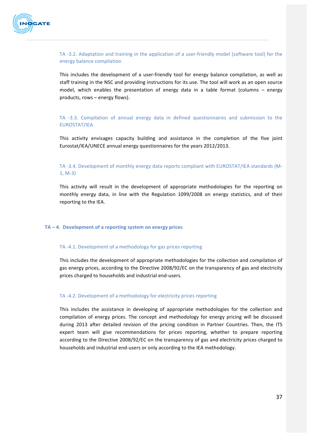

## TA -3.2. Adaptation and training in the application of a user-friendly model (software tool) for the energy balance compilation

This includes the development of a user-friendly tool for energy balance compilation, as well as staff training in the NSC and providing instructions for its use. The tool will work as an open source model, which enables the presentation of energy data in a table format (columns  $-$  energy products, rows  $-$  energy flows).

## TA -3.3. Compilation of annual energy data in defined questionnaires and submission to the EUROSTAT/IEA

This activity envisages capacity building and assistance in the completion of the five joint Eurostat/IEA/UNECE annual energy questionnaires for the years 2012/2013.

## TA -3.4. Development of monthly energy data reports compliant with EUROSTAT/IEA standards (M- $1, M-3)$

This activity will result in the development of appropriate methodologies for the reporting on monthly energy data, in line with the Regulation 1099/2008 on energy statistics, and of their reporting to the IEA.

## TA – 4. Development of a reporting system on energy prices

#### TA -4.1. Development of a methodology for gas prices reporting

This includes the development of appropriate methodologies for the collection and compilation of gas energy prices, according to the Directive 2008/92/EC on the transparency of gas and electricity prices charged to households and industrial end-users.

## TA -4.2. Development of a methodology for electricity prices reporting

This includes the assistance in developing of appropriate methodologies for the collection and compilation of energy prices. The concept and methodology for energy pricing will be discussed during 2013 after detailed revision of the pricing condition in Partner Countries. Then, the ITS expert team will give recommendations for prices reporting, whether to prepare reporting according to the Directive 2008/92/EC on the transparency of gas and electricity prices charged to households and industrial end-users or only according to the IEA methodology.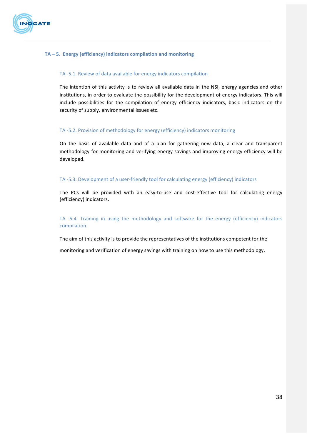

### TA – 5. Energy (efficiency) indicators compilation and monitoring

#### TA -5.1. Review of data available for energy indicators compilation

The intention of this activity is to review all available data in the NSI, energy agencies and other institutions, in order to evaluate the possibility for the development of energy indicators. This will include possibilities for the compilation of energy efficiency indicators, basic indicators on the security of supply, environmental issues etc.

#### TA -5.2. Provision of methodology for energy (efficiency) indicators monitoring

On the basis of available data and of a plan for gathering new data, a clear and transparent methodology for monitoring and verifying energy savings and improving energy efficiency will be developed.

#### TA -5.3. Development of a user-friendly tool for calculating energy (efficiency) indicators

The PCs will be provided with an easy-to-use and cost-effective tool for calculating energy (efficiency) indicators.

TA -5.4. Training in using the methodology and software for the energy (efficiency) indicators compilation 

The aim of this activity is to provide the representatives of the institutions competent for the

monitoring and verification of energy savings with training on how to use this methodology.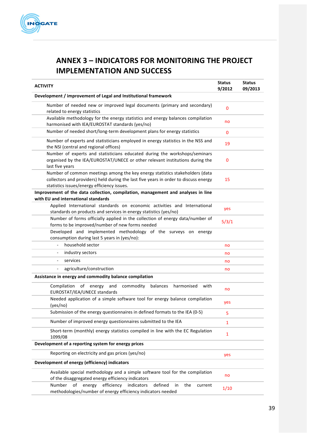

## **ANNEX 3 – INDICATORS FOR MONITORING THE PROJECT IMPLEMENTATION AND SUCCESS**

| <b>ACTIVITY</b>                                                                                                                                                                                                     | <b>Status</b><br>9/2012 | <b>Status</b><br>09/2013 |
|---------------------------------------------------------------------------------------------------------------------------------------------------------------------------------------------------------------------|-------------------------|--------------------------|
| Development / improvement of Legal and Institutional framework                                                                                                                                                      |                         |                          |
| Number of needed new or improved legal documents (primary and secondary)<br>related to energy statistics                                                                                                            | $\mathbf{0}$            |                          |
| Available methodology for the energy statistics and energy balances compilation<br>harmonised with IEA/EUROSTAT standards (yes/no)                                                                                  | no                      |                          |
| Number of needed short/long-term development plans for energy statistics                                                                                                                                            | $\mathbf{0}$            |                          |
| Number of experts and statisticians employed in energy statistics in the NSS and<br>the NSI (central and regional offices)                                                                                          | 19                      |                          |
| Number of experts and statisticians educated during the workshops/seminars<br>organised by the IEA/EUROSTAT/UNECE or other relevant institutions during the<br>last five years                                      | 0                       |                          |
| Number of common meetings among the key energy statistics stakeholders (data<br>collectors and providers) held during the last five years in order to discuss energy<br>statistics issues/energy efficiency issues. | 15                      |                          |
| Improvement of the data collection, compilation, management and analyses in line<br>with EU and international standards                                                                                             |                         |                          |
| Applied International standards on economic activities and International<br>standards on products and services in energy statistics (yes/no)                                                                        | yes                     |                          |
| Number of forms officially applied in the collection of energy data/number of<br>forms to be improved/number of new forms needed                                                                                    | 5/3/1                   |                          |
| Developed and implemented methodology of the surveys on energy<br>consumption during last 5 years in (yes/no):                                                                                                      |                         |                          |
| household sector<br>$\frac{1}{2}$                                                                                                                                                                                   | no                      |                          |
| industry sectors                                                                                                                                                                                                    | no                      |                          |
| services<br>$\overline{\phantom{0}}$                                                                                                                                                                                | no                      |                          |
| agriculture/construction                                                                                                                                                                                            | no                      |                          |
| Assistance in energy and commodity balance compilation                                                                                                                                                              |                         |                          |
| and<br>commodity<br>harmonised<br>Compilation<br>of<br>energy<br>balances<br>with<br>EUROSTAT/IEA/UNECE standards                                                                                                   | no                      |                          |
| Needed application of a simple software tool for energy balance compilation<br>(yes/no)                                                                                                                             | yes                     |                          |
| Submission of the energy questionnaires in defined formats to the IEA (0-5)                                                                                                                                         | 5                       |                          |
| Number of improved energy questionnaires submitted to the IEA                                                                                                                                                       | 1                       |                          |
| Short-term (monthly) energy statistics compiled in line with the EC Regulation<br>1099/08                                                                                                                           | 1                       |                          |
| Development of a reporting system for energy prices                                                                                                                                                                 |                         |                          |
| Reporting on electricity and gas prices (yes/no)                                                                                                                                                                    | yes                     |                          |
| Development of energy (efficiency) indicators                                                                                                                                                                       |                         |                          |
| Available special methodology and a simple software tool for the compilation<br>of the disaggregated energy efficiency indicators                                                                                   | no                      |                          |
| efficiency<br>Number<br>of<br>energy<br>indicators<br>defined<br>in<br>the<br>current<br>methodologies/number of energy efficiency indicators needed                                                                | 1/10                    |                          |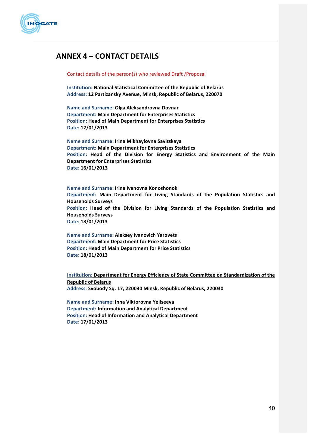

## **ANNEX 4 – CONTACT DETAILS**

#### Contact details of the person(s) who reviewed Draft / Proposal

**Institution: National Statistical Committee of the Republic of Belarus Address: 12 Partizansky Avenue, Minsk, Republic of Belarus, 220070**

**Name and Surname: Olga Aleksandrovna Dovnar Department: Main Department for Enterprises Statistics Position: Head of Main Department for Enterprises Statistics Date: 17/01/2013**

**Name and Surname: Irina Mikhaylovna Savitskaya Department: Main Department for Enterprises Statistics** Position: Head of the Division for Energy Statistics and Environment of the Main **Department for Enterprises Statistics Date: 16/01/2013**

**Name and Surname: Irina Ivanovna Konoshonok Department: Main Department for Living Standards of the Population Statistics and Households Surveys** Position: Head of the Division for Living Standards of the Population Statistics and **Households Surveys Date: 18/01/2013**

**Name and Surname: Aleksey Ivanovich Yarovets Department: Main Department for Price Statistics Position: Head of Main Department for Price Statistics Date: 18/01/2013**

**Institution: Department for Energy Efficiency of State Committee on Standardization of the Republic of Belarus Address: Svobody Sq. 17, 220030 Minsk, Republic of Belarus, 220030**

**Name and Surname: Inna Viktorovna Yeliseeva Department: Information and Analytical Department Position: Head of Information and Analytical Department Date: 17/01/2013**